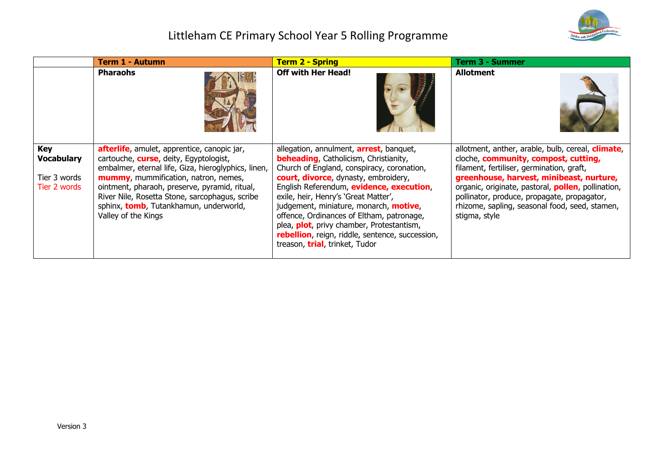

# Littleham CE Primary School Year 5 Rolling Programme

|                                                                 | Term 1 - Autumn                                                                                                                                                                                                                                                                                                                                                  | <b>Term 2 - Spring</b>                                                                                                                                                                                                                                                                                                                                                                                                                                                                                             | <b>Term 3 - Summer</b>                                                                                                                                                                                                                                                                                                                                                     |
|-----------------------------------------------------------------|------------------------------------------------------------------------------------------------------------------------------------------------------------------------------------------------------------------------------------------------------------------------------------------------------------------------------------------------------------------|--------------------------------------------------------------------------------------------------------------------------------------------------------------------------------------------------------------------------------------------------------------------------------------------------------------------------------------------------------------------------------------------------------------------------------------------------------------------------------------------------------------------|----------------------------------------------------------------------------------------------------------------------------------------------------------------------------------------------------------------------------------------------------------------------------------------------------------------------------------------------------------------------------|
|                                                                 | <b>Pharaohs</b>                                                                                                                                                                                                                                                                                                                                                  | <b>Off with Her Head!</b>                                                                                                                                                                                                                                                                                                                                                                                                                                                                                          | <b>Allotment</b>                                                                                                                                                                                                                                                                                                                                                           |
| <b>Key</b><br><b>Vocabulary</b><br>Tier 3 words<br>Tier 2 words | afterlife, amulet, apprentice, canopic jar,<br>cartouche, <b>curse</b> , deity, Egyptologist,<br>embalmer, eternal life, Giza, hieroglyphics, linen,<br>mummy, mummification, natron, nemes,<br>ointment, pharaoh, preserve, pyramid, ritual,<br>River Nile, Rosetta Stone, sarcophagus, scribe<br>sphinx, tomb, Tutankhamun, underworld,<br>Valley of the Kings | allegation, annulment, <b>arrest</b> , banquet,<br><b>beheading, Catholicism, Christianity,</b><br>Church of England, conspiracy, coronation,<br>court, divorce, dynasty, embroidery,<br>English Referendum, evidence, execution,<br>exile, heir, Henry's 'Great Matter',<br>judgement, miniature, monarch, <b>motive</b> ,<br>offence, Ordinances of Eltham, patronage,<br>plea, <b>plot</b> , privy chamber, Protestantism,<br>rebellion, reign, riddle, sentence, succession,<br>treason, trial, trinket, Tudor | allotment, anther, arable, bulb, cereal, <b>climate</b> ,<br>cloche, community, compost, cutting,<br>filament, fertiliser, germination, graft,<br>greenhouse, harvest, minibeast, nurture,<br>organic, originate, pastoral, <b>pollen</b> , pollination,<br>pollinator, produce, propagate, propagator,<br>rhizome, sapling, seasonal food, seed, stamen,<br>stigma, style |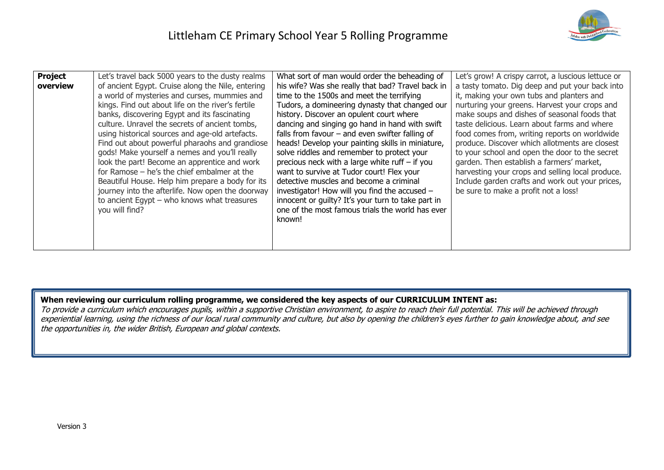

| <b>Project</b><br>overview | Let's travel back 5000 years to the dusty realms<br>of ancient Egypt. Cruise along the Nile, entering<br>a world of mysteries and curses, mummies and<br>kings. Find out about life on the river's fertile<br>banks, discovering Egypt and its fascinating<br>culture. Unravel the secrets of ancient tombs,<br>using historical sources and age-old artefacts.<br>Find out about powerful pharaohs and grandiose<br>gods! Make yourself a nemes and you'll really<br>look the part! Become an apprentice and work<br>for Ramose $-$ he's the chief embalmer at the<br>Beautiful House. Help him prepare a body for its<br>journey into the afterlife. Now open the doorway<br>to ancient Egypt $-$ who knows what treasures<br>you will find? | What sort of man would order the beheading of<br>his wife? Was she really that bad? Travel back in<br>time to the 1500s and meet the terrifying<br>Tudors, a domineering dynasty that changed our<br>history. Discover an opulent court where<br>dancing and singing go hand in hand with swift<br>falls from favour $-$ and even swifter falling of<br>heads! Develop your painting skills in miniature,<br>solve riddles and remember to protect your<br>precious neck with a large white ruff $-$ if you<br>want to survive at Tudor court! Flex your<br>detective muscles and become a criminal<br>investigator! How will you find the accused -<br>innocent or guilty? It's your turn to take part in<br>one of the most famous trials the world has ever<br>known! | Let's grow! A crispy carrot, a luscious lettuce or<br>a tasty tomato. Dig deep and put your back into<br>it, making your own tubs and planters and<br>nurturing your greens. Harvest your crops and<br>make soups and dishes of seasonal foods that<br>taste delicious. Learn about farms and where<br>food comes from, writing reports on worldwide<br>produce. Discover which allotments are closest<br>to your school and open the door to the secret<br>garden. Then establish a farmers' market,<br>harvesting your crops and selling local produce.<br>Include garden crafts and work out your prices,<br>be sure to make a profit not a loss! |
|----------------------------|------------------------------------------------------------------------------------------------------------------------------------------------------------------------------------------------------------------------------------------------------------------------------------------------------------------------------------------------------------------------------------------------------------------------------------------------------------------------------------------------------------------------------------------------------------------------------------------------------------------------------------------------------------------------------------------------------------------------------------------------|--------------------------------------------------------------------------------------------------------------------------------------------------------------------------------------------------------------------------------------------------------------------------------------------------------------------------------------------------------------------------------------------------------------------------------------------------------------------------------------------------------------------------------------------------------------------------------------------------------------------------------------------------------------------------------------------------------------------------------------------------------------------------|------------------------------------------------------------------------------------------------------------------------------------------------------------------------------------------------------------------------------------------------------------------------------------------------------------------------------------------------------------------------------------------------------------------------------------------------------------------------------------------------------------------------------------------------------------------------------------------------------------------------------------------------------|
|----------------------------|------------------------------------------------------------------------------------------------------------------------------------------------------------------------------------------------------------------------------------------------------------------------------------------------------------------------------------------------------------------------------------------------------------------------------------------------------------------------------------------------------------------------------------------------------------------------------------------------------------------------------------------------------------------------------------------------------------------------------------------------|--------------------------------------------------------------------------------------------------------------------------------------------------------------------------------------------------------------------------------------------------------------------------------------------------------------------------------------------------------------------------------------------------------------------------------------------------------------------------------------------------------------------------------------------------------------------------------------------------------------------------------------------------------------------------------------------------------------------------------------------------------------------------|------------------------------------------------------------------------------------------------------------------------------------------------------------------------------------------------------------------------------------------------------------------------------------------------------------------------------------------------------------------------------------------------------------------------------------------------------------------------------------------------------------------------------------------------------------------------------------------------------------------------------------------------------|

### **When reviewing our curriculum rolling programme, we considered the key aspects of our CURRICULUM INTENT as:**

To provide a curriculum which encourages pupils, within a supportive Christian environment, to aspire to reach their full potential. This will be achieved through experiential learning, using the richness of our local rural community and culture, but also by opening the children's eyes further to gain knowledge about, and see the opportunities in, the wider British, European and global contexts.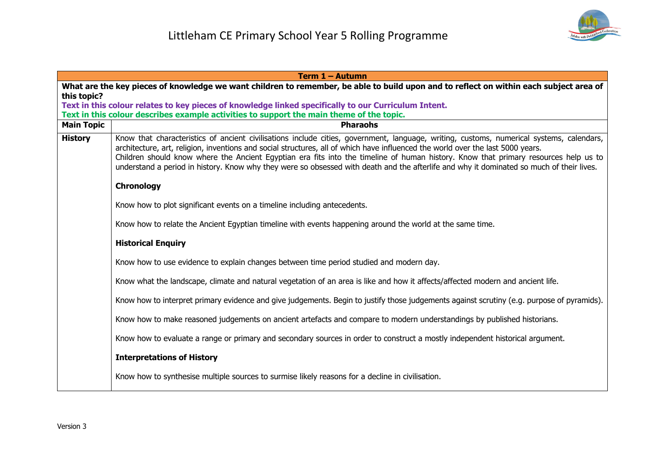

|                   | Term 1 - Autumn                                                                                                                                                                                                                                                                                                                                                                                                                                                                                                                                                |  |  |
|-------------------|----------------------------------------------------------------------------------------------------------------------------------------------------------------------------------------------------------------------------------------------------------------------------------------------------------------------------------------------------------------------------------------------------------------------------------------------------------------------------------------------------------------------------------------------------------------|--|--|
|                   | What are the key pieces of knowledge we want children to remember, be able to build upon and to reflect on within each subject area of                                                                                                                                                                                                                                                                                                                                                                                                                         |  |  |
| this topic?       | Text in this colour relates to key pieces of knowledge linked specifically to our Curriculum Intent.                                                                                                                                                                                                                                                                                                                                                                                                                                                           |  |  |
|                   | Text in this colour describes example activities to support the main theme of the topic.                                                                                                                                                                                                                                                                                                                                                                                                                                                                       |  |  |
| <b>Main Topic</b> | <b>Pharaohs</b>                                                                                                                                                                                                                                                                                                                                                                                                                                                                                                                                                |  |  |
| <b>History</b>    | Know that characteristics of ancient civilisations include cities, government, language, writing, customs, numerical systems, calendars,<br>architecture, art, religion, inventions and social structures, all of which have influenced the world over the last 5000 years.<br>Children should know where the Ancient Egyptian era fits into the timeline of human history. Know that primary resources help us to<br>understand a period in history. Know why they were so obsessed with death and the afterlife and why it dominated so much of their lives. |  |  |
|                   | Chronology                                                                                                                                                                                                                                                                                                                                                                                                                                                                                                                                                     |  |  |
|                   | Know how to plot significant events on a timeline including antecedents.                                                                                                                                                                                                                                                                                                                                                                                                                                                                                       |  |  |
|                   | Know how to relate the Ancient Egyptian timeline with events happening around the world at the same time.                                                                                                                                                                                                                                                                                                                                                                                                                                                      |  |  |
|                   | <b>Historical Enquiry</b>                                                                                                                                                                                                                                                                                                                                                                                                                                                                                                                                      |  |  |
|                   | Know how to use evidence to explain changes between time period studied and modern day.                                                                                                                                                                                                                                                                                                                                                                                                                                                                        |  |  |
|                   | Know what the landscape, climate and natural vegetation of an area is like and how it affects/affected modern and ancient life.                                                                                                                                                                                                                                                                                                                                                                                                                                |  |  |
|                   | Know how to interpret primary evidence and give judgements. Begin to justify those judgements against scrutiny (e.g. purpose of pyramids).                                                                                                                                                                                                                                                                                                                                                                                                                     |  |  |
|                   | Know how to make reasoned judgements on ancient artefacts and compare to modern understandings by published historians.                                                                                                                                                                                                                                                                                                                                                                                                                                        |  |  |
|                   | Know how to evaluate a range or primary and secondary sources in order to construct a mostly independent historical argument.                                                                                                                                                                                                                                                                                                                                                                                                                                  |  |  |
|                   | <b>Interpretations of History</b>                                                                                                                                                                                                                                                                                                                                                                                                                                                                                                                              |  |  |
|                   | Know how to synthesise multiple sources to surmise likely reasons for a decline in civilisation.                                                                                                                                                                                                                                                                                                                                                                                                                                                               |  |  |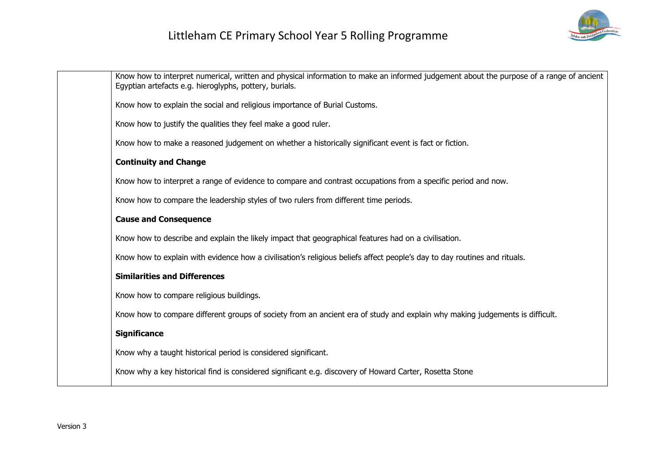

| Know how to interpret numerical, written and physical information to make an informed judgement about the purpose of a range of ancient<br>Egyptian artefacts e.g. hieroglyphs, pottery, burials. |
|---------------------------------------------------------------------------------------------------------------------------------------------------------------------------------------------------|
| Know how to explain the social and religious importance of Burial Customs.                                                                                                                        |
| Know how to justify the qualities they feel make a good ruler.                                                                                                                                    |
| Know how to make a reasoned judgement on whether a historically significant event is fact or fiction.                                                                                             |
| <b>Continuity and Change</b>                                                                                                                                                                      |
| Know how to interpret a range of evidence to compare and contrast occupations from a specific period and now.                                                                                     |
| Know how to compare the leadership styles of two rulers from different time periods.                                                                                                              |
| <b>Cause and Consequence</b>                                                                                                                                                                      |
| Know how to describe and explain the likely impact that geographical features had on a civilisation.                                                                                              |
| Know how to explain with evidence how a civilisation's religious beliefs affect people's day to day routines and rituals.                                                                         |
| <b>Similarities and Differences</b>                                                                                                                                                               |
| Know how to compare religious buildings.                                                                                                                                                          |
| Know how to compare different groups of society from an ancient era of study and explain why making judgements is difficult.                                                                      |
| <b>Significance</b>                                                                                                                                                                               |
| Know why a taught historical period is considered significant.                                                                                                                                    |
| Know why a key historical find is considered significant e.g. discovery of Howard Carter, Rosetta Stone                                                                                           |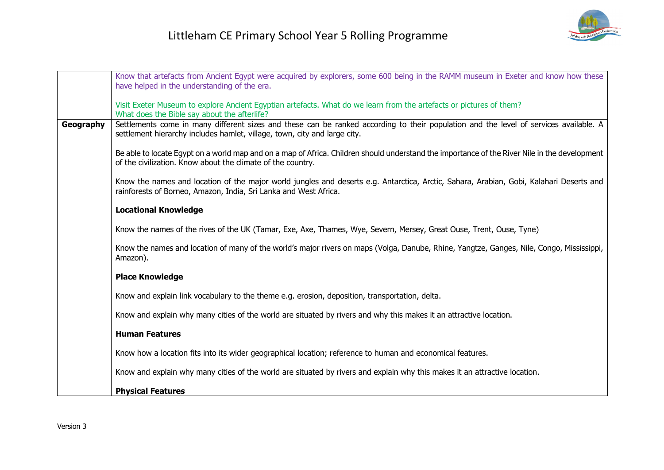

|           | Know that artefacts from Ancient Egypt were acquired by explorers, some 600 being in the RAMM museum in Exeter and know how these<br>have helped in the understanding of the era.                                  |
|-----------|--------------------------------------------------------------------------------------------------------------------------------------------------------------------------------------------------------------------|
|           |                                                                                                                                                                                                                    |
|           | Visit Exeter Museum to explore Ancient Egyptian artefacts. What do we learn from the artefacts or pictures of them?<br>What does the Bible say about the afterlife?                                                |
| Geography | Settlements come in many different sizes and these can be ranked according to their population and the level of services available. A<br>settlement hierarchy includes hamlet, village, town, city and large city. |
|           | Be able to locate Egypt on a world map and on a map of Africa. Children should understand the importance of the River Nile in the development<br>of the civilization. Know about the climate of the country.       |
|           | Know the names and location of the major world jungles and deserts e.g. Antarctica, Arctic, Sahara, Arabian, Gobi, Kalahari Deserts and<br>rainforests of Borneo, Amazon, India, Sri Lanka and West Africa.        |
|           | <b>Locational Knowledge</b>                                                                                                                                                                                        |
|           | Know the names of the rives of the UK (Tamar, Exe, Axe, Thames, Wye, Severn, Mersey, Great Ouse, Trent, Ouse, Tyne)                                                                                                |
|           | Know the names and location of many of the world's major rivers on maps (Volga, Danube, Rhine, Yangtze, Ganges, Nile, Congo, Mississippi,<br>Amazon).                                                              |
|           | <b>Place Knowledge</b>                                                                                                                                                                                             |
|           | Know and explain link vocabulary to the theme e.g. erosion, deposition, transportation, delta.                                                                                                                     |
|           | Know and explain why many cities of the world are situated by rivers and why this makes it an attractive location.                                                                                                 |
|           | <b>Human Features</b>                                                                                                                                                                                              |
|           | Know how a location fits into its wider geographical location; reference to human and economical features.                                                                                                         |
|           | Know and explain why many cities of the world are situated by rivers and explain why this makes it an attractive location.                                                                                         |
|           | <b>Physical Features</b>                                                                                                                                                                                           |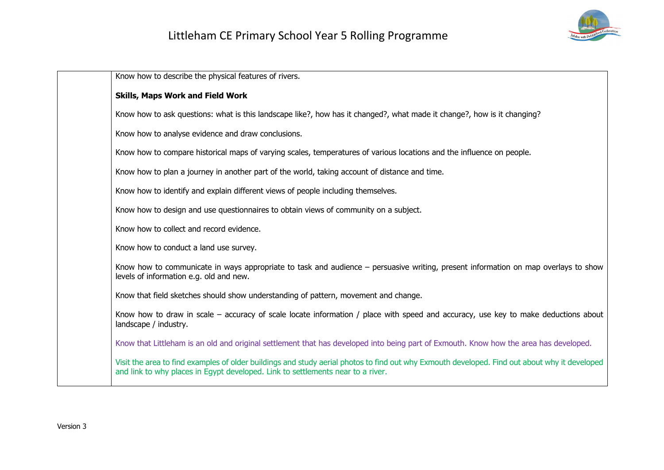

Know how to describe the physical features of rivers. **Skills, Maps Work and Field Work** Know how to ask questions: what is this landscape like?, how has it changed?, what made it change?, how is it changing? Know how to analyse evidence and draw conclusions. Know how to compare historical maps of varying scales, temperatures of various locations and the influence on people. Know how to plan a journey in another part of the world, taking account of distance and time. Know how to identify and explain different views of people including themselves. Know how to design and use questionnaires to obtain views of community on a subject. Know how to collect and record evidence. Know how to conduct a land use survey. Know how to communicate in ways appropriate to task and audience – persuasive writing, present information on map overlays to show levels of information e.g. old and new. Know that field sketches should show understanding of pattern, movement and change. Know how to draw in scale – accuracy of scale locate information / place with speed and accuracy, use key to make deductions about landscape / industry. Know that Littleham is an old and original settlement that has developed into being part of Exmouth. Know how the area has developed. Visit the area to find examples of older buildings and study aerial photos to find out why Exmouth developed. Find out about why it developed and link to why places in Egypt developed. Link to settlements near to a river.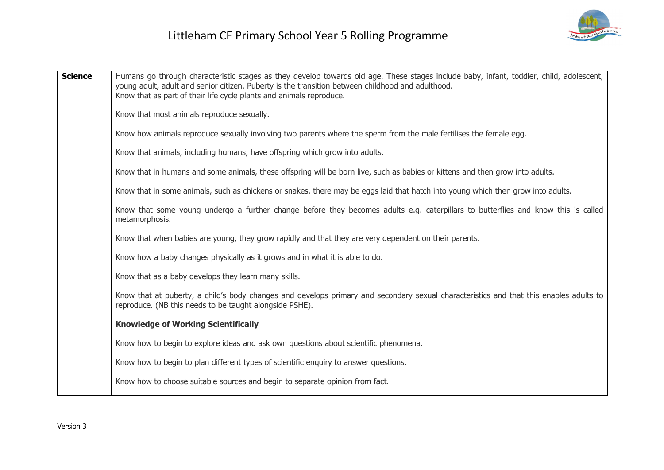| <b>Science</b> | Humans go through characteristic stages as they develop towards old age. These stages include baby, infant, toddler, child, adolescent,<br>young adult, adult and senior citizen. Puberty is the transition between childhood and adulthood.<br>Know that as part of their life cycle plants and animals reproduce. |
|----------------|---------------------------------------------------------------------------------------------------------------------------------------------------------------------------------------------------------------------------------------------------------------------------------------------------------------------|
|                | Know that most animals reproduce sexually.                                                                                                                                                                                                                                                                          |
|                | Know how animals reproduce sexually involving two parents where the sperm from the male fertilises the female egg.                                                                                                                                                                                                  |
|                | Know that animals, including humans, have offspring which grow into adults.                                                                                                                                                                                                                                         |
|                | Know that in humans and some animals, these offspring will be born live, such as babies or kittens and then grow into adults.                                                                                                                                                                                       |
|                | Know that in some animals, such as chickens or snakes, there may be eggs laid that hatch into young which then grow into adults.                                                                                                                                                                                    |
|                | Know that some young undergo a further change before they becomes adults e.g. caterpillars to butterflies and know this is called<br>metamorphosis.                                                                                                                                                                 |
|                | Know that when babies are young, they grow rapidly and that they are very dependent on their parents.                                                                                                                                                                                                               |
|                | Know how a baby changes physically as it grows and in what it is able to do.                                                                                                                                                                                                                                        |
|                | Know that as a baby develops they learn many skills.                                                                                                                                                                                                                                                                |
|                | Know that at puberty, a child's body changes and develops primary and secondary sexual characteristics and that this enables adults to<br>reproduce. (NB this needs to be taught alongside PSHE).                                                                                                                   |
|                | <b>Knowledge of Working Scientifically</b>                                                                                                                                                                                                                                                                          |
|                | Know how to begin to explore ideas and ask own questions about scientific phenomena.                                                                                                                                                                                                                                |
|                | Know how to begin to plan different types of scientific enquiry to answer questions.                                                                                                                                                                                                                                |
|                | Know how to choose suitable sources and begin to separate opinion from fact.                                                                                                                                                                                                                                        |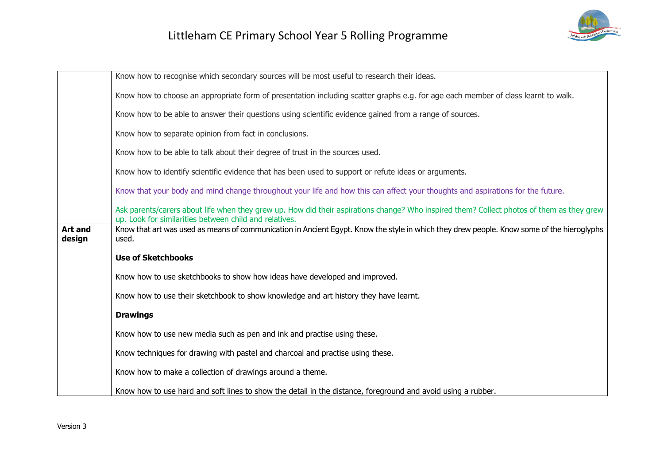

|                          | Know how to recognise which secondary sources will be most useful to research their ideas.                                                                                                          |
|--------------------------|-----------------------------------------------------------------------------------------------------------------------------------------------------------------------------------------------------|
|                          | Know how to choose an appropriate form of presentation including scatter graphs e.g. for age each member of class learnt to walk.                                                                   |
|                          | Know how to be able to answer their questions using scientific evidence gained from a range of sources.                                                                                             |
|                          | Know how to separate opinion from fact in conclusions.                                                                                                                                              |
|                          | Know how to be able to talk about their degree of trust in the sources used.                                                                                                                        |
|                          | Know how to identify scientific evidence that has been used to support or refute ideas or arguments.                                                                                                |
|                          | Know that your body and mind change throughout your life and how this can affect your thoughts and aspirations for the future.                                                                      |
|                          | Ask parents/carers about life when they grew up. How did their aspirations change? Who inspired them? Collect photos of them as they grew<br>up. Look for similarities between child and relatives. |
| <b>Art and</b><br>design | Know that art was used as means of communication in Ancient Egypt. Know the style in which they drew people. Know some of the hieroglyphs<br>used.                                                  |
|                          | <b>Use of Sketchbooks</b>                                                                                                                                                                           |
|                          | Know how to use sketchbooks to show how ideas have developed and improved.                                                                                                                          |
|                          | Know how to use their sketchbook to show knowledge and art history they have learnt.                                                                                                                |
|                          | <b>Drawings</b>                                                                                                                                                                                     |
|                          | Know how to use new media such as pen and ink and practise using these.                                                                                                                             |
|                          | Know techniques for drawing with pastel and charcoal and practise using these.                                                                                                                      |
|                          | Know how to make a collection of drawings around a theme.                                                                                                                                           |
|                          | Know how to use hard and soft lines to show the detail in the distance, foreground and avoid using a rubber.                                                                                        |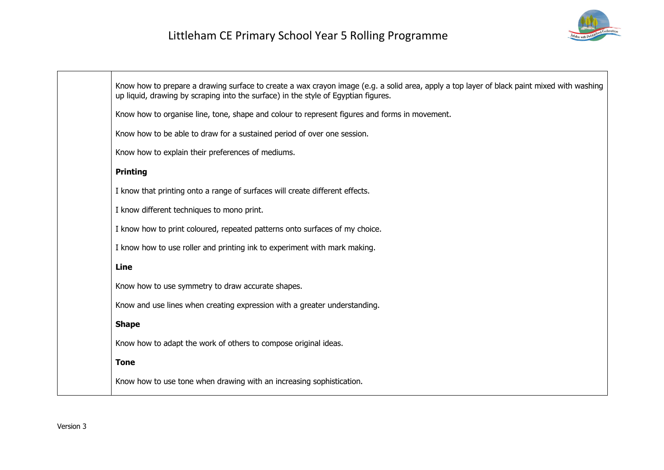

| Know how to prepare a drawing surface to create a wax crayon image (e.g. a solid area, apply a top layer of black paint mixed with washing<br>up liquid, drawing by scraping into the surface) in the style of Egyptian figures. |
|----------------------------------------------------------------------------------------------------------------------------------------------------------------------------------------------------------------------------------|
| Know how to organise line, tone, shape and colour to represent figures and forms in movement.                                                                                                                                    |
| Know how to be able to draw for a sustained period of over one session.                                                                                                                                                          |
| Know how to explain their preferences of mediums.                                                                                                                                                                                |
| <b>Printing</b>                                                                                                                                                                                                                  |
| I know that printing onto a range of surfaces will create different effects.                                                                                                                                                     |
| I know different techniques to mono print.                                                                                                                                                                                       |
| I know how to print coloured, repeated patterns onto surfaces of my choice.                                                                                                                                                      |
| I know how to use roller and printing ink to experiment with mark making.                                                                                                                                                        |
| Line                                                                                                                                                                                                                             |
| Know how to use symmetry to draw accurate shapes.                                                                                                                                                                                |
| Know and use lines when creating expression with a greater understanding.                                                                                                                                                        |
| <b>Shape</b>                                                                                                                                                                                                                     |
| Know how to adapt the work of others to compose original ideas.                                                                                                                                                                  |
| <b>Tone</b>                                                                                                                                                                                                                      |
| Know how to use tone when drawing with an increasing sophistication.                                                                                                                                                             |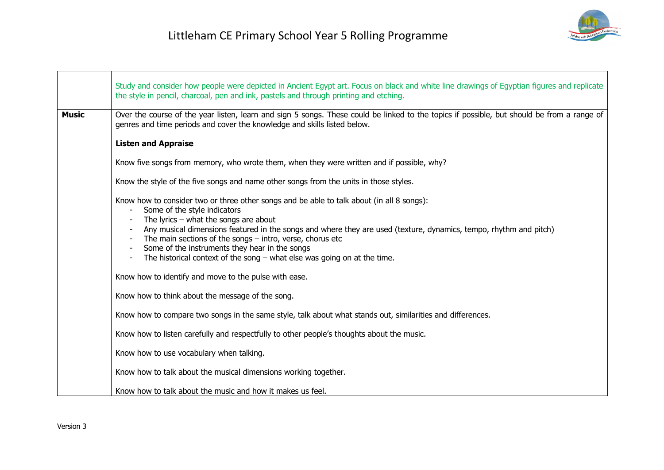|              | Study and consider how people were depicted in Ancient Egypt art. Focus on black and white line drawings of Egyptian figures and replicate<br>the style in pencil, charcoal, pen and ink, pastels and through printing and etching.                                                                                                                                                                                                                                                      |
|--------------|------------------------------------------------------------------------------------------------------------------------------------------------------------------------------------------------------------------------------------------------------------------------------------------------------------------------------------------------------------------------------------------------------------------------------------------------------------------------------------------|
| <b>Music</b> | Over the course of the year listen, learn and sign 5 songs. These could be linked to the topics if possible, but should be from a range of<br>genres and time periods and cover the knowledge and skills listed below.                                                                                                                                                                                                                                                                   |
|              | <b>Listen and Appraise</b>                                                                                                                                                                                                                                                                                                                                                                                                                                                               |
|              | Know five songs from memory, who wrote them, when they were written and if possible, why?                                                                                                                                                                                                                                                                                                                                                                                                |
|              | Know the style of the five songs and name other songs from the units in those styles.                                                                                                                                                                                                                                                                                                                                                                                                    |
|              | Know how to consider two or three other songs and be able to talk about (in all 8 songs):<br>Some of the style indicators<br>The lyrics $-$ what the songs are about<br>Any musical dimensions featured in the songs and where they are used (texture, dynamics, tempo, rhythm and pitch)<br>The main sections of the songs $-$ intro, verse, chorus etc<br>Some of the instruments they hear in the songs<br>The historical context of the song $-$ what else was going on at the time. |
|              | Know how to identify and move to the pulse with ease.                                                                                                                                                                                                                                                                                                                                                                                                                                    |
|              | Know how to think about the message of the song.                                                                                                                                                                                                                                                                                                                                                                                                                                         |
|              | Know how to compare two songs in the same style, talk about what stands out, similarities and differences.                                                                                                                                                                                                                                                                                                                                                                               |
|              | Know how to listen carefully and respectfully to other people's thoughts about the music.                                                                                                                                                                                                                                                                                                                                                                                                |
|              | Know how to use vocabulary when talking.                                                                                                                                                                                                                                                                                                                                                                                                                                                 |
|              | Know how to talk about the musical dimensions working together.                                                                                                                                                                                                                                                                                                                                                                                                                          |
|              | Know how to talk about the music and how it makes us feel.                                                                                                                                                                                                                                                                                                                                                                                                                               |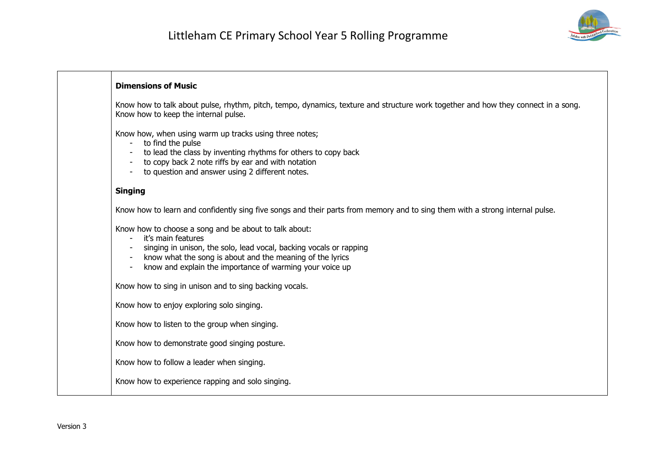

#### **Dimensions of Music**

Know how to talk about pulse, rhythm, pitch, tempo, dynamics, texture and structure work together and how they connect in a song. Know how to keep the internal pulse.

Know how, when using warm up tracks using three notes;

- to find the pulse
- to lead the class by inventing rhythms for others to copy back
- to copy back 2 note riffs by ear and with notation
- to question and answer using 2 different notes.

#### **Singing**

Know how to learn and confidently sing five songs and their parts from memory and to sing them with a strong internal pulse.

Know how to choose a song and be about to talk about:

- it's main features
- singing in unison, the solo, lead vocal, backing vocals or rapping
- know what the song is about and the meaning of the lyrics
- know and explain the importance of warming your voice up

Know how to sing in unison and to sing backing vocals.

Know how to enjoy exploring solo singing.

Know how to listen to the group when singing.

Know how to demonstrate good singing posture.

Know how to follow a leader when singing.

Know how to experience rapping and solo singing.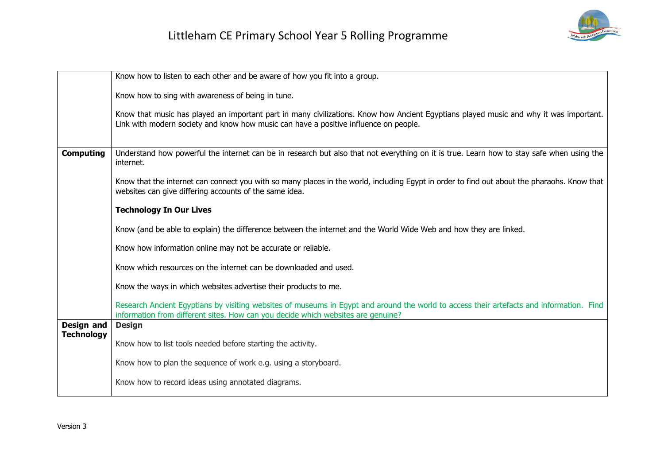

|                                        | Know how to listen to each other and be aware of how you fit into a group.                                                                                                                                                    |
|----------------------------------------|-------------------------------------------------------------------------------------------------------------------------------------------------------------------------------------------------------------------------------|
|                                        | Know how to sing with awareness of being in tune.                                                                                                                                                                             |
|                                        | Know that music has played an important part in many civilizations. Know how Ancient Egyptians played music and why it was important.<br>Link with modern society and know how music can have a positive influence on people. |
| <b>Computing</b>                       | Understand how powerful the internet can be in research but also that not everything on it is true. Learn how to stay safe when using the<br>internet.                                                                        |
|                                        | Know that the internet can connect you with so many places in the world, including Egypt in order to find out about the pharaohs. Know that<br>websites can give differing accounts of the same idea.                         |
|                                        | <b>Technology In Our Lives</b>                                                                                                                                                                                                |
|                                        | Know (and be able to explain) the difference between the internet and the World Wide Web and how they are linked.                                                                                                             |
|                                        | Know how information online may not be accurate or reliable.                                                                                                                                                                  |
|                                        | Know which resources on the internet can be downloaded and used.                                                                                                                                                              |
|                                        | Know the ways in which websites advertise their products to me.                                                                                                                                                               |
|                                        | Research Ancient Egyptians by visiting websites of museums in Egypt and around the world to access their artefacts and information. Find<br>information from different sites. How can you decide which websites are genuine?  |
| <b>Design and</b><br><b>Technology</b> | <b>Design</b>                                                                                                                                                                                                                 |
|                                        | Know how to list tools needed before starting the activity.                                                                                                                                                                   |
|                                        | Know how to plan the sequence of work e.g. using a storyboard.                                                                                                                                                                |
|                                        | Know how to record ideas using annotated diagrams.                                                                                                                                                                            |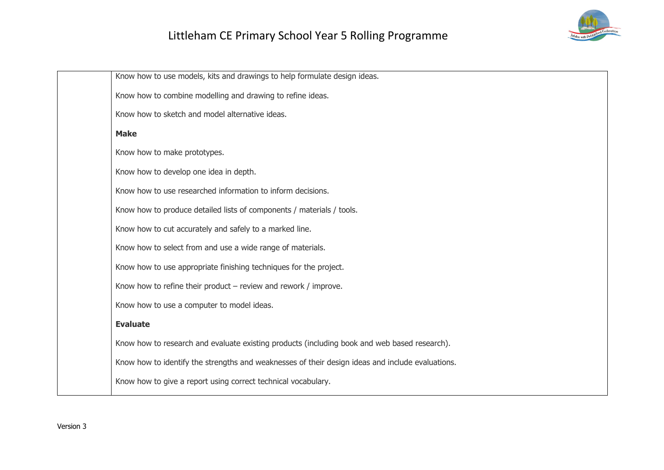# Littleham CE Primary School Year 5 Rolling Programme



| Know how to use models, kits and drawings to help formulate design ideas.                        |
|--------------------------------------------------------------------------------------------------|
| Know how to combine modelling and drawing to refine ideas.                                       |
| Know how to sketch and model alternative ideas.                                                  |
| <b>Make</b>                                                                                      |
| Know how to make prototypes.                                                                     |
| Know how to develop one idea in depth.                                                           |
| Know how to use researched information to inform decisions.                                      |
| Know how to produce detailed lists of components / materials / tools.                            |
| Know how to cut accurately and safely to a marked line.                                          |
| Know how to select from and use a wide range of materials.                                       |
| Know how to use appropriate finishing techniques for the project.                                |
| Know how to refine their product $-$ review and rework / improve.                                |
| Know how to use a computer to model ideas.                                                       |
| <b>Evaluate</b>                                                                                  |
| Know how to research and evaluate existing products (including book and web based research).     |
| Know how to identify the strengths and weaknesses of their design ideas and include evaluations. |
| Know how to give a report using correct technical vocabulary.                                    |
|                                                                                                  |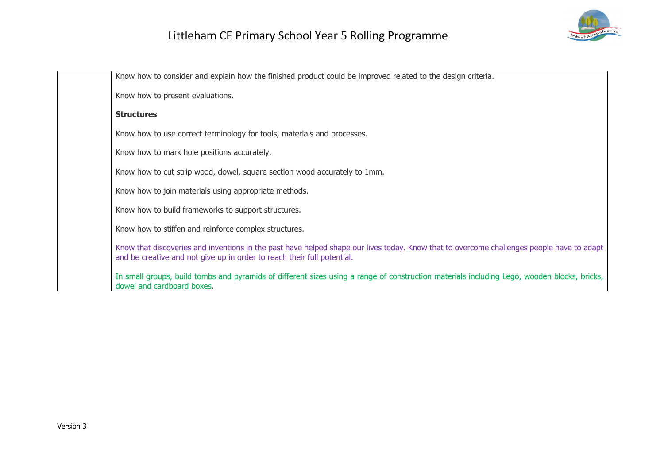

| Know how to consider and explain how the finished product could be improved related to the design criteria.                                                                                                          |
|----------------------------------------------------------------------------------------------------------------------------------------------------------------------------------------------------------------------|
| Know how to present evaluations.                                                                                                                                                                                     |
| <b>Structures</b>                                                                                                                                                                                                    |
| Know how to use correct terminology for tools, materials and processes.                                                                                                                                              |
| Know how to mark hole positions accurately.                                                                                                                                                                          |
| Know how to cut strip wood, dowel, square section wood accurately to 1mm.                                                                                                                                            |
| Know how to join materials using appropriate methods.                                                                                                                                                                |
| Know how to build frameworks to support structures.                                                                                                                                                                  |
| Know how to stiffen and reinforce complex structures.                                                                                                                                                                |
| Know that discoveries and inventions in the past have helped shape our lives today. Know that to overcome challenges people have to adapt<br>and be creative and not give up in order to reach their full potential. |
| In small groups, build tombs and pyramids of different sizes using a range of construction materials including Lego, wooden blocks, bricks,<br>dowel and cardboard boxes.                                            |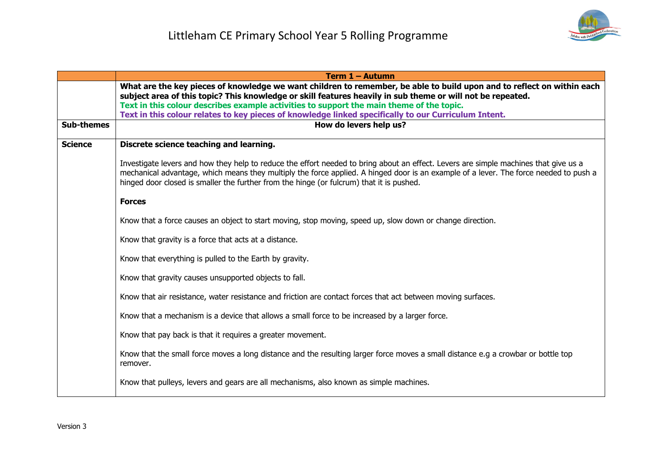

|                   | <b>Term 1 - Autumn</b>                                                                                                                                                                                                                                                                                                                                                    |
|-------------------|---------------------------------------------------------------------------------------------------------------------------------------------------------------------------------------------------------------------------------------------------------------------------------------------------------------------------------------------------------------------------|
|                   | What are the key pieces of knowledge we want children to remember, be able to build upon and to reflect on within each<br>subject area of this topic? This knowledge or skill features heavily in sub theme or will not be repeated.                                                                                                                                      |
|                   | Text in this colour describes example activities to support the main theme of the topic.                                                                                                                                                                                                                                                                                  |
|                   | Text in this colour relates to key pieces of knowledge linked specifically to our Curriculum Intent.                                                                                                                                                                                                                                                                      |
| <b>Sub-themes</b> | How do levers help us?                                                                                                                                                                                                                                                                                                                                                    |
| <b>Science</b>    | Discrete science teaching and learning.                                                                                                                                                                                                                                                                                                                                   |
|                   | Investigate levers and how they help to reduce the effort needed to bring about an effect. Levers are simple machines that give us a<br>mechanical advantage, which means they multiply the force applied. A hinged door is an example of a lever. The force needed to push a<br>hinged door closed is smaller the further from the hinge (or fulcrum) that it is pushed. |
|                   | <b>Forces</b>                                                                                                                                                                                                                                                                                                                                                             |
|                   | Know that a force causes an object to start moving, stop moving, speed up, slow down or change direction.                                                                                                                                                                                                                                                                 |
|                   | Know that gravity is a force that acts at a distance.                                                                                                                                                                                                                                                                                                                     |
|                   | Know that everything is pulled to the Earth by gravity.                                                                                                                                                                                                                                                                                                                   |
|                   | Know that gravity causes unsupported objects to fall.                                                                                                                                                                                                                                                                                                                     |
|                   | Know that air resistance, water resistance and friction are contact forces that act between moving surfaces.                                                                                                                                                                                                                                                              |
|                   | Know that a mechanism is a device that allows a small force to be increased by a larger force.                                                                                                                                                                                                                                                                            |
|                   | Know that pay back is that it requires a greater movement.                                                                                                                                                                                                                                                                                                                |
|                   | Know that the small force moves a long distance and the resulting larger force moves a small distance e.g a crowbar or bottle top<br>remover.                                                                                                                                                                                                                             |
|                   | Know that pulleys, levers and gears are all mechanisms, also known as simple machines.                                                                                                                                                                                                                                                                                    |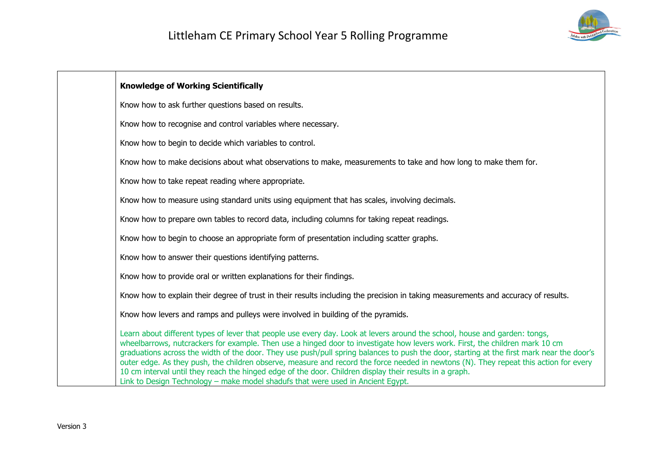

| <b>Knowledge of Working Scientifically</b>                                                                                                                                                                                                                                                                                                                                                                                                                                                                                                                                                                                                                                                                                                     |
|------------------------------------------------------------------------------------------------------------------------------------------------------------------------------------------------------------------------------------------------------------------------------------------------------------------------------------------------------------------------------------------------------------------------------------------------------------------------------------------------------------------------------------------------------------------------------------------------------------------------------------------------------------------------------------------------------------------------------------------------|
| Know how to ask further questions based on results.                                                                                                                                                                                                                                                                                                                                                                                                                                                                                                                                                                                                                                                                                            |
| Know how to recognise and control variables where necessary.                                                                                                                                                                                                                                                                                                                                                                                                                                                                                                                                                                                                                                                                                   |
| Know how to begin to decide which variables to control.                                                                                                                                                                                                                                                                                                                                                                                                                                                                                                                                                                                                                                                                                        |
| Know how to make decisions about what observations to make, measurements to take and how long to make them for.                                                                                                                                                                                                                                                                                                                                                                                                                                                                                                                                                                                                                                |
| Know how to take repeat reading where appropriate.                                                                                                                                                                                                                                                                                                                                                                                                                                                                                                                                                                                                                                                                                             |
| Know how to measure using standard units using equipment that has scales, involving decimals.                                                                                                                                                                                                                                                                                                                                                                                                                                                                                                                                                                                                                                                  |
| Know how to prepare own tables to record data, including columns for taking repeat readings.                                                                                                                                                                                                                                                                                                                                                                                                                                                                                                                                                                                                                                                   |
| Know how to begin to choose an appropriate form of presentation including scatter graphs.                                                                                                                                                                                                                                                                                                                                                                                                                                                                                                                                                                                                                                                      |
| Know how to answer their questions identifying patterns.                                                                                                                                                                                                                                                                                                                                                                                                                                                                                                                                                                                                                                                                                       |
| Know how to provide oral or written explanations for their findings.                                                                                                                                                                                                                                                                                                                                                                                                                                                                                                                                                                                                                                                                           |
| Know how to explain their degree of trust in their results including the precision in taking measurements and accuracy of results.                                                                                                                                                                                                                                                                                                                                                                                                                                                                                                                                                                                                             |
| Know how levers and ramps and pulleys were involved in building of the pyramids.                                                                                                                                                                                                                                                                                                                                                                                                                                                                                                                                                                                                                                                               |
| Learn about different types of lever that people use every day. Look at levers around the school, house and garden: tongs,<br>wheelbarrows, nutcrackers for example. Then use a hinged door to investigate how levers work. First, the children mark 10 cm<br>graduations across the width of the door. They use push/pull spring balances to push the door, starting at the first mark near the door's<br>outer edge. As they push, the children observe, measure and record the force needed in newtons (N). They repeat this action for every<br>10 cm interval until they reach the hinged edge of the door. Children display their results in a graph.<br>Link to Design Technology – make model shadufs that were used in Ancient Egypt. |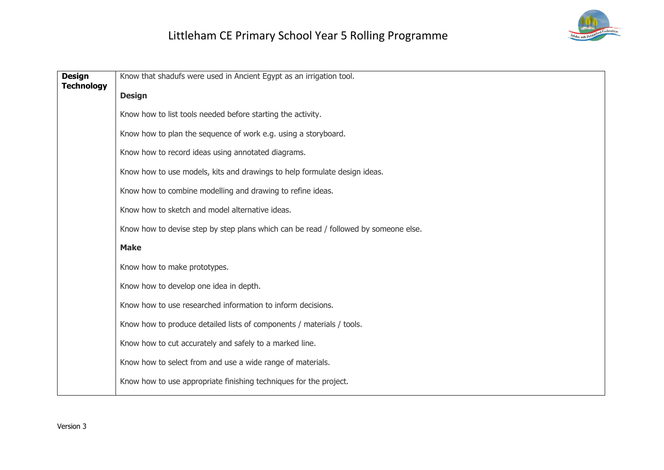

| <b>Design</b><br><b>Technology</b> | Know that shadufs were used in Ancient Egypt as an irrigation tool.                 |
|------------------------------------|-------------------------------------------------------------------------------------|
|                                    | <b>Design</b>                                                                       |
|                                    | Know how to list tools needed before starting the activity.                         |
|                                    | Know how to plan the sequence of work e.g. using a storyboard.                      |
|                                    | Know how to record ideas using annotated diagrams.                                  |
|                                    | Know how to use models, kits and drawings to help formulate design ideas.           |
|                                    | Know how to combine modelling and drawing to refine ideas.                          |
|                                    | Know how to sketch and model alternative ideas.                                     |
|                                    | Know how to devise step by step plans which can be read / followed by someone else. |
|                                    | <b>Make</b>                                                                         |
|                                    | Know how to make prototypes.                                                        |
|                                    | Know how to develop one idea in depth.                                              |
|                                    | Know how to use researched information to inform decisions.                         |
|                                    | Know how to produce detailed lists of components / materials / tools.               |
|                                    | Know how to cut accurately and safely to a marked line.                             |
|                                    | Know how to select from and use a wide range of materials.                          |
|                                    | Know how to use appropriate finishing techniques for the project.                   |
|                                    |                                                                                     |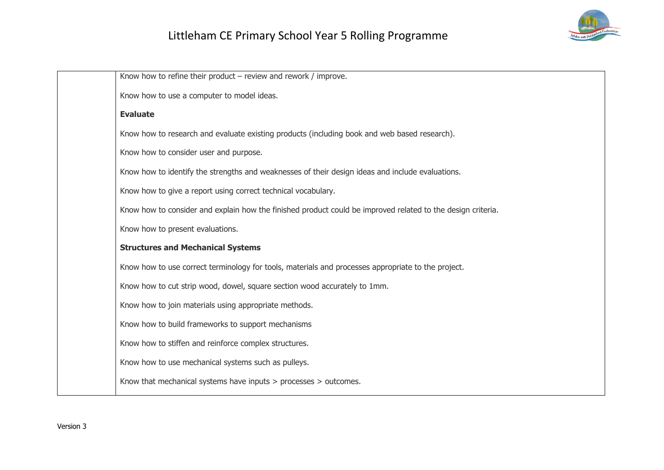# Littleham CE Primary School Year 5 Rolling Programme



| Know how to refine their product $-$ review and rework / improve.                                           |
|-------------------------------------------------------------------------------------------------------------|
| Know how to use a computer to model ideas.                                                                  |
| <b>Evaluate</b>                                                                                             |
| Know how to research and evaluate existing products (including book and web based research).                |
| Know how to consider user and purpose.                                                                      |
| Know how to identify the strengths and weaknesses of their design ideas and include evaluations.            |
| Know how to give a report using correct technical vocabulary.                                               |
| Know how to consider and explain how the finished product could be improved related to the design criteria. |
| Know how to present evaluations.                                                                            |
| <b>Structures and Mechanical Systems</b>                                                                    |
| Know how to use correct terminology for tools, materials and processes appropriate to the project.          |
| Know how to cut strip wood, dowel, square section wood accurately to 1mm.                                   |
| Know how to join materials using appropriate methods.                                                       |
| Know how to build frameworks to support mechanisms                                                          |
| Know how to stiffen and reinforce complex structures.                                                       |
| Know how to use mechanical systems such as pulleys.                                                         |
| Know that mechanical systems have inputs $>$ processes $>$ outcomes.                                        |
|                                                                                                             |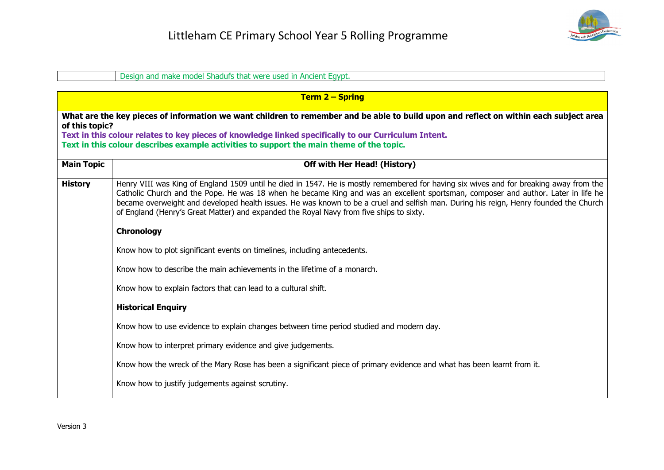

|                                                                                                                                                                                                                                                                                                                                                             | Design and make model Shadufs that were used in Ancient Egypt.                                                                                                                                                                                                                                                                                                                                                                                                                                                  |
|-------------------------------------------------------------------------------------------------------------------------------------------------------------------------------------------------------------------------------------------------------------------------------------------------------------------------------------------------------------|-----------------------------------------------------------------------------------------------------------------------------------------------------------------------------------------------------------------------------------------------------------------------------------------------------------------------------------------------------------------------------------------------------------------------------------------------------------------------------------------------------------------|
|                                                                                                                                                                                                                                                                                                                                                             |                                                                                                                                                                                                                                                                                                                                                                                                                                                                                                                 |
|                                                                                                                                                                                                                                                                                                                                                             | <b>Term 2 – Spring</b>                                                                                                                                                                                                                                                                                                                                                                                                                                                                                          |
| What are the key pieces of information we want children to remember and be able to build upon and reflect on within each subject area<br>of this topic?<br>Text in this colour relates to key pieces of knowledge linked specifically to our Curriculum Intent.<br>Text in this colour describes example activities to support the main theme of the topic. |                                                                                                                                                                                                                                                                                                                                                                                                                                                                                                                 |
| <b>Main Topic</b>                                                                                                                                                                                                                                                                                                                                           | <b>Off with Her Head! (History)</b>                                                                                                                                                                                                                                                                                                                                                                                                                                                                             |
| <b>History</b>                                                                                                                                                                                                                                                                                                                                              | Henry VIII was King of England 1509 until he died in 1547. He is mostly remembered for having six wives and for breaking away from the<br>Catholic Church and the Pope. He was 18 when he became King and was an excellent sportsman, composer and author. Later in life he<br>became overweight and developed health issues. He was known to be a cruel and selfish man. During his reign, Henry founded the Church<br>of England (Henry's Great Matter) and expanded the Royal Navy from five ships to sixty. |
|                                                                                                                                                                                                                                                                                                                                                             | Chronology                                                                                                                                                                                                                                                                                                                                                                                                                                                                                                      |
|                                                                                                                                                                                                                                                                                                                                                             | Know how to plot significant events on timelines, including antecedents.                                                                                                                                                                                                                                                                                                                                                                                                                                        |
|                                                                                                                                                                                                                                                                                                                                                             | Know how to describe the main achievements in the lifetime of a monarch.                                                                                                                                                                                                                                                                                                                                                                                                                                        |
|                                                                                                                                                                                                                                                                                                                                                             | Know how to explain factors that can lead to a cultural shift.                                                                                                                                                                                                                                                                                                                                                                                                                                                  |
|                                                                                                                                                                                                                                                                                                                                                             | <b>Historical Enquiry</b>                                                                                                                                                                                                                                                                                                                                                                                                                                                                                       |
|                                                                                                                                                                                                                                                                                                                                                             | Know how to use evidence to explain changes between time period studied and modern day.                                                                                                                                                                                                                                                                                                                                                                                                                         |
|                                                                                                                                                                                                                                                                                                                                                             | Know how to interpret primary evidence and give judgements.                                                                                                                                                                                                                                                                                                                                                                                                                                                     |
|                                                                                                                                                                                                                                                                                                                                                             | Know how the wreck of the Mary Rose has been a significant piece of primary evidence and what has been learnt from it.                                                                                                                                                                                                                                                                                                                                                                                          |
|                                                                                                                                                                                                                                                                                                                                                             | Know how to justify judgements against scrutiny.                                                                                                                                                                                                                                                                                                                                                                                                                                                                |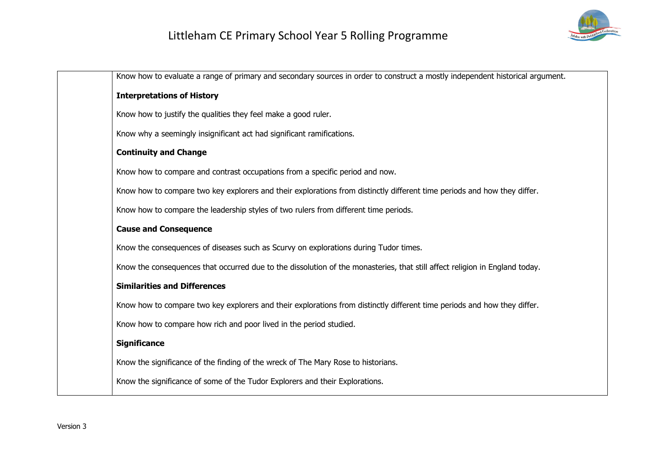

| Know how to evaluate a range of primary and secondary sources in order to construct a mostly independent historical argument. |
|-------------------------------------------------------------------------------------------------------------------------------|
| <b>Interpretations of History</b>                                                                                             |
| Know how to justify the qualities they feel make a good ruler.                                                                |
| Know why a seemingly insignificant act had significant ramifications.                                                         |
| <b>Continuity and Change</b>                                                                                                  |
| Know how to compare and contrast occupations from a specific period and now.                                                  |
| Know how to compare two key explorers and their explorations from distinctly different time periods and how they differ.      |
| Know how to compare the leadership styles of two rulers from different time periods.                                          |
| <b>Cause and Consequence</b>                                                                                                  |
| Know the consequences of diseases such as Scurvy on explorations during Tudor times.                                          |
| Know the consequences that occurred due to the dissolution of the monasteries, that still affect religion in England today.   |
| <b>Similarities and Differences</b>                                                                                           |
| Know how to compare two key explorers and their explorations from distinctly different time periods and how they differ.      |
| Know how to compare how rich and poor lived in the period studied.                                                            |
| <b>Significance</b>                                                                                                           |
| Know the significance of the finding of the wreck of The Mary Rose to historians.                                             |
| Know the significance of some of the Tudor Explorers and their Explorations.                                                  |
|                                                                                                                               |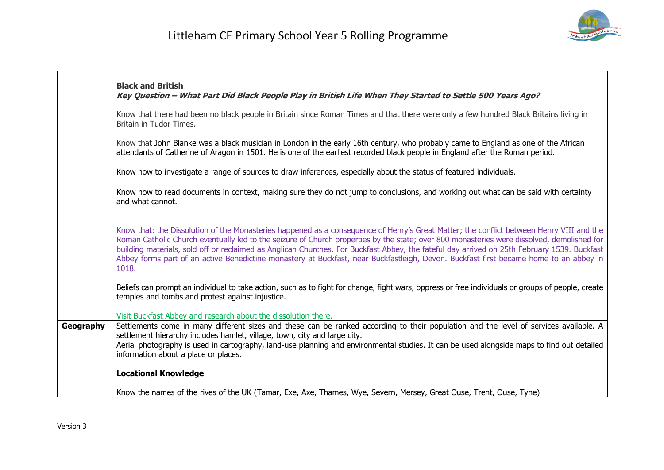

|           | <b>Black and British</b><br>Key Question - What Part Did Black People Play in British Life When They Started to Settle 500 Years Ago?                                                                                                                                                                                                                                                                                                                                                                                                                                                   |
|-----------|-----------------------------------------------------------------------------------------------------------------------------------------------------------------------------------------------------------------------------------------------------------------------------------------------------------------------------------------------------------------------------------------------------------------------------------------------------------------------------------------------------------------------------------------------------------------------------------------|
|           | Know that there had been no black people in Britain since Roman Times and that there were only a few hundred Black Britains living in<br>Britain in Tudor Times.                                                                                                                                                                                                                                                                                                                                                                                                                        |
|           | Know that John Blanke was a black musician in London in the early 16th century, who probably came to England as one of the African<br>attendants of Catherine of Aragon in 1501. He is one of the earliest recorded black people in England after the Roman period.                                                                                                                                                                                                                                                                                                                     |
|           | Know how to investigate a range of sources to draw inferences, especially about the status of featured individuals.                                                                                                                                                                                                                                                                                                                                                                                                                                                                     |
|           | Know how to read documents in context, making sure they do not jump to conclusions, and working out what can be said with certainty<br>and what cannot.                                                                                                                                                                                                                                                                                                                                                                                                                                 |
|           | Know that: the Dissolution of the Monasteries happened as a consequence of Henry's Great Matter; the conflict between Henry VIII and the<br>Roman Catholic Church eventually led to the seizure of Church properties by the state; over 800 monasteries were dissolved, demolished for<br>building materials, sold off or reclaimed as Anglican Churches. For Buckfast Abbey, the fateful day arrived on 25th February 1539. Buckfast<br>Abbey forms part of an active Benedictine monastery at Buckfast, near Buckfastleigh, Devon. Buckfast first became home to an abbey in<br>1018. |
|           | Beliefs can prompt an individual to take action, such as to fight for change, fight wars, oppress or free individuals or groups of people, create<br>temples and tombs and protest against injustice.                                                                                                                                                                                                                                                                                                                                                                                   |
|           | Visit Buckfast Abbey and research about the dissolution there.                                                                                                                                                                                                                                                                                                                                                                                                                                                                                                                          |
| Geography | Settlements come in many different sizes and these can be ranked according to their population and the level of services available. A<br>settlement hierarchy includes hamlet, village, town, city and large city.<br>Aerial photography is used in cartography, land-use planning and environmental studies. It can be used alongside maps to find out detailed<br>information about a place or places.                                                                                                                                                                                |
|           | <b>Locational Knowledge</b>                                                                                                                                                                                                                                                                                                                                                                                                                                                                                                                                                             |
|           | Know the names of the rives of the UK (Tamar, Exe, Axe, Thames, Wye, Severn, Mersey, Great Ouse, Trent, Ouse, Tyne)                                                                                                                                                                                                                                                                                                                                                                                                                                                                     |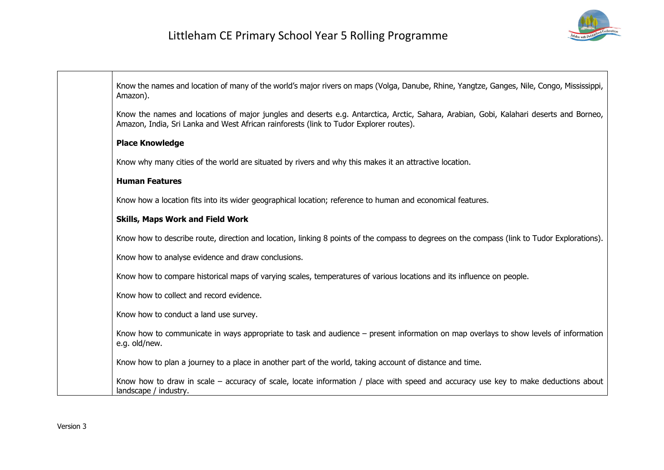

| Know the names and location of many of the world's major rivers on maps (Volga, Danube, Rhine, Yangtze, Ganges, Nile, Congo, Mississippi,<br>Amazon).                                                                            |
|----------------------------------------------------------------------------------------------------------------------------------------------------------------------------------------------------------------------------------|
| Know the names and locations of major jungles and deserts e.g. Antarctica, Arctic, Sahara, Arabian, Gobi, Kalahari deserts and Borneo,<br>Amazon, India, Sri Lanka and West African rainforests (link to Tudor Explorer routes). |
| <b>Place Knowledge</b>                                                                                                                                                                                                           |
| Know why many cities of the world are situated by rivers and why this makes it an attractive location.                                                                                                                           |
| <b>Human Features</b>                                                                                                                                                                                                            |
| Know how a location fits into its wider geographical location; reference to human and economical features.                                                                                                                       |
| <b>Skills, Maps Work and Field Work</b>                                                                                                                                                                                          |
| Know how to describe route, direction and location, linking 8 points of the compass to degrees on the compass (link to Tudor Explorations).                                                                                      |
| Know how to analyse evidence and draw conclusions.                                                                                                                                                                               |
| Know how to compare historical maps of varying scales, temperatures of various locations and its influence on people.                                                                                                            |
| Know how to collect and record evidence.                                                                                                                                                                                         |
| Know how to conduct a land use survey.                                                                                                                                                                                           |
| Know how to communicate in ways appropriate to task and audience – present information on map overlays to show levels of information<br>e.g. old/new.                                                                            |
| Know how to plan a journey to a place in another part of the world, taking account of distance and time.                                                                                                                         |
| Know how to draw in scale – accuracy of scale, locate information / place with speed and accuracy use key to make deductions about<br>landscape / industry.                                                                      |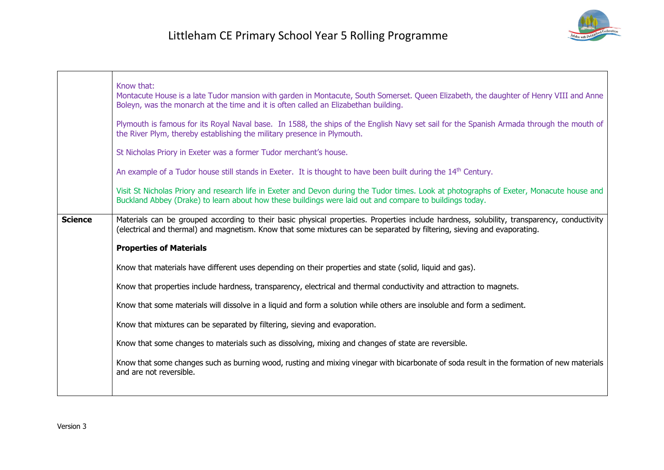

|                | Know that:<br>Montacute House is a late Tudor mansion with garden in Montacute, South Somerset. Queen Elizabeth, the daughter of Henry VIII and Anne<br>Boleyn, was the monarch at the time and it is often called an Elizabethan building.<br>Plymouth is famous for its Royal Naval base. In 1588, the ships of the English Navy set sail for the Spanish Armada through the mouth of<br>the River Plym, thereby establishing the military presence in Plymouth.<br>St Nicholas Priory in Exeter was a former Tudor merchant's house.<br>An example of a Tudor house still stands in Exeter. It is thought to have been built during the 14 <sup>th</sup> Century. |
|----------------|----------------------------------------------------------------------------------------------------------------------------------------------------------------------------------------------------------------------------------------------------------------------------------------------------------------------------------------------------------------------------------------------------------------------------------------------------------------------------------------------------------------------------------------------------------------------------------------------------------------------------------------------------------------------|
|                | Visit St Nicholas Priory and research life in Exeter and Devon during the Tudor times. Look at photographs of Exeter, Monacute house and<br>Buckland Abbey (Drake) to learn about how these buildings were laid out and compare to buildings today.                                                                                                                                                                                                                                                                                                                                                                                                                  |
| <b>Science</b> | Materials can be grouped according to their basic physical properties. Properties include hardness, solubility, transparency, conductivity<br>(electrical and thermal) and magnetism. Know that some mixtures can be separated by filtering, sieving and evaporating.                                                                                                                                                                                                                                                                                                                                                                                                |
|                | <b>Properties of Materials</b>                                                                                                                                                                                                                                                                                                                                                                                                                                                                                                                                                                                                                                       |
|                | Know that materials have different uses depending on their properties and state (solid, liquid and gas).                                                                                                                                                                                                                                                                                                                                                                                                                                                                                                                                                             |
|                | Know that properties include hardness, transparency, electrical and thermal conductivity and attraction to magnets.                                                                                                                                                                                                                                                                                                                                                                                                                                                                                                                                                  |
|                | Know that some materials will dissolve in a liquid and form a solution while others are insoluble and form a sediment.                                                                                                                                                                                                                                                                                                                                                                                                                                                                                                                                               |
|                | Know that mixtures can be separated by filtering, sieving and evaporation.                                                                                                                                                                                                                                                                                                                                                                                                                                                                                                                                                                                           |
|                | Know that some changes to materials such as dissolving, mixing and changes of state are reversible.                                                                                                                                                                                                                                                                                                                                                                                                                                                                                                                                                                  |
|                | Know that some changes such as burning wood, rusting and mixing vinegar with bicarbonate of soda result in the formation of new materials<br>and are not reversible.                                                                                                                                                                                                                                                                                                                                                                                                                                                                                                 |
|                |                                                                                                                                                                                                                                                                                                                                                                                                                                                                                                                                                                                                                                                                      |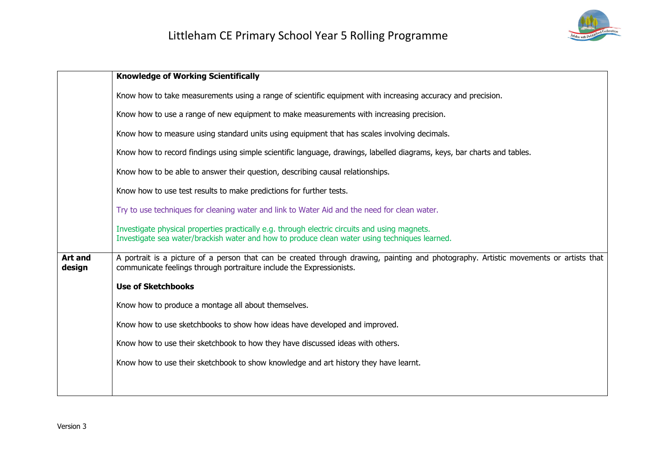

|                          | <b>Knowledge of Working Scientifically</b>                                                                                                                                                                    |
|--------------------------|---------------------------------------------------------------------------------------------------------------------------------------------------------------------------------------------------------------|
|                          | Know how to take measurements using a range of scientific equipment with increasing accuracy and precision.                                                                                                   |
|                          | Know how to use a range of new equipment to make measurements with increasing precision.                                                                                                                      |
|                          | Know how to measure using standard units using equipment that has scales involving decimals.                                                                                                                  |
|                          | Know how to record findings using simple scientific language, drawings, labelled diagrams, keys, bar charts and tables.                                                                                       |
|                          | Know how to be able to answer their question, describing causal relationships.                                                                                                                                |
|                          | Know how to use test results to make predictions for further tests.                                                                                                                                           |
|                          | Try to use techniques for cleaning water and link to Water Aid and the need for clean water.                                                                                                                  |
|                          | Investigate physical properties practically e.g. through electric circuits and using magnets.<br>Investigate sea water/brackish water and how to produce clean water using techniques learned.                |
| <b>Art and</b><br>design | A portrait is a picture of a person that can be created through drawing, painting and photography. Artistic movements or artists that<br>communicate feelings through portraiture include the Expressionists. |
|                          | <b>Use of Sketchbooks</b>                                                                                                                                                                                     |
|                          | Know how to produce a montage all about themselves.                                                                                                                                                           |
|                          | Know how to use sketchbooks to show how ideas have developed and improved.                                                                                                                                    |
|                          | Know how to use their sketchbook to how they have discussed ideas with others.                                                                                                                                |
|                          | Know how to use their sketchbook to show knowledge and art history they have learnt.                                                                                                                          |
|                          |                                                                                                                                                                                                               |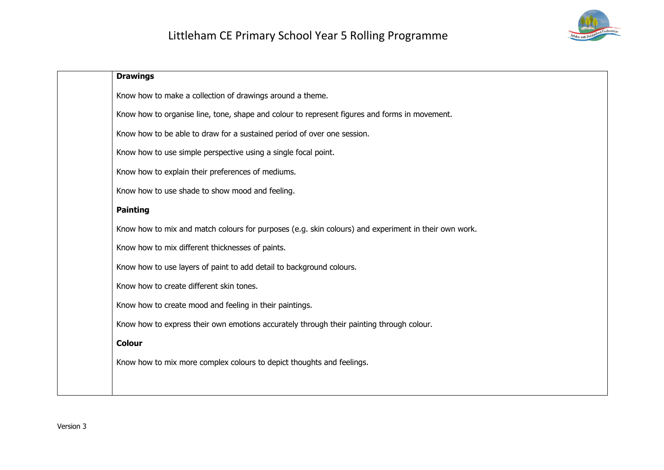

| <b>Drawings</b>                                                                                      |
|------------------------------------------------------------------------------------------------------|
| Know how to make a collection of drawings around a theme.                                            |
| Know how to organise line, tone, shape and colour to represent figures and forms in movement.        |
| Know how to be able to draw for a sustained period of over one session.                              |
| Know how to use simple perspective using a single focal point.                                       |
| Know how to explain their preferences of mediums.                                                    |
| Know how to use shade to show mood and feeling.                                                      |
| <b>Painting</b>                                                                                      |
| Know how to mix and match colours for purposes (e.g. skin colours) and experiment in their own work. |
| Know how to mix different thicknesses of paints.                                                     |
| Know how to use layers of paint to add detail to background colours.                                 |
| Know how to create different skin tones.                                                             |
| Know how to create mood and feeling in their paintings.                                              |
| Know how to express their own emotions accurately through their painting through colour.             |
| <b>Colour</b>                                                                                        |
| Know how to mix more complex colours to depict thoughts and feelings.                                |
|                                                                                                      |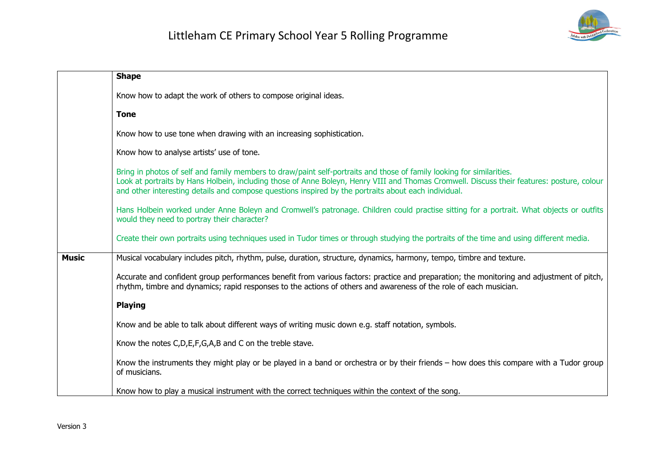

|              | <b>Shape</b>                                                                                                                                                                                                                                                                                                                                                                |
|--------------|-----------------------------------------------------------------------------------------------------------------------------------------------------------------------------------------------------------------------------------------------------------------------------------------------------------------------------------------------------------------------------|
|              | Know how to adapt the work of others to compose original ideas.                                                                                                                                                                                                                                                                                                             |
|              | <b>Tone</b>                                                                                                                                                                                                                                                                                                                                                                 |
|              | Know how to use tone when drawing with an increasing sophistication.                                                                                                                                                                                                                                                                                                        |
|              | Know how to analyse artists' use of tone.                                                                                                                                                                                                                                                                                                                                   |
|              | Bring in photos of self and family members to draw/paint self-portraits and those of family looking for similarities.<br>Look at portraits by Hans Holbein, including those of Anne Boleyn, Henry VIII and Thomas Cromwell. Discuss their features: posture, colour<br>and other interesting details and compose questions inspired by the portraits about each individual. |
|              | Hans Holbein worked under Anne Boleyn and Cromwell's patronage. Children could practise sitting for a portrait. What objects or outfits<br>would they need to portray their character?                                                                                                                                                                                      |
|              | Create their own portraits using techniques used in Tudor times or through studying the portraits of the time and using different media.                                                                                                                                                                                                                                    |
| <b>Music</b> | Musical vocabulary includes pitch, rhythm, pulse, duration, structure, dynamics, harmony, tempo, timbre and texture.                                                                                                                                                                                                                                                        |
|              | Accurate and confident group performances benefit from various factors: practice and preparation; the monitoring and adjustment of pitch,<br>rhythm, timbre and dynamics; rapid responses to the actions of others and awareness of the role of each musician.                                                                                                              |
|              | <b>Playing</b>                                                                                                                                                                                                                                                                                                                                                              |
|              | Know and be able to talk about different ways of writing music down e.g. staff notation, symbols.                                                                                                                                                                                                                                                                           |
|              | Know the notes C,D,E,F,G,A,B and C on the treble stave.                                                                                                                                                                                                                                                                                                                     |
|              | Know the instruments they might play or be played in a band or orchestra or by their friends – how does this compare with a Tudor group<br>of musicians.                                                                                                                                                                                                                    |
|              | Know how to play a musical instrument with the correct techniques within the context of the song.                                                                                                                                                                                                                                                                           |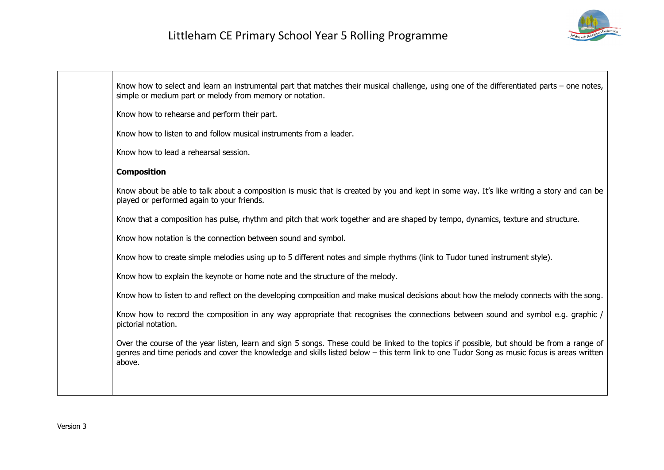

| Know how to select and learn an instrumental part that matches their musical challenge, using one of the differentiated parts - one notes,<br>simple or medium part or melody from memory or notation.                                                                                             |
|----------------------------------------------------------------------------------------------------------------------------------------------------------------------------------------------------------------------------------------------------------------------------------------------------|
| Know how to rehearse and perform their part.                                                                                                                                                                                                                                                       |
| Know how to listen to and follow musical instruments from a leader.                                                                                                                                                                                                                                |
| Know how to lead a rehearsal session.                                                                                                                                                                                                                                                              |
| <b>Composition</b>                                                                                                                                                                                                                                                                                 |
| Know about be able to talk about a composition is music that is created by you and kept in some way. It's like writing a story and can be<br>played or performed again to your friends.                                                                                                            |
| Know that a composition has pulse, rhythm and pitch that work together and are shaped by tempo, dynamics, texture and structure.                                                                                                                                                                   |
| Know how notation is the connection between sound and symbol.                                                                                                                                                                                                                                      |
| Know how to create simple melodies using up to 5 different notes and simple rhythms (link to Tudor tuned instrument style).                                                                                                                                                                        |
| Know how to explain the keynote or home note and the structure of the melody.                                                                                                                                                                                                                      |
| Know how to listen to and reflect on the developing composition and make musical decisions about how the melody connects with the song.                                                                                                                                                            |
| Know how to record the composition in any way appropriate that recognises the connections between sound and symbol e.g. graphic /<br>pictorial notation.                                                                                                                                           |
| Over the course of the year listen, learn and sign 5 songs. These could be linked to the topics if possible, but should be from a range of<br>genres and time periods and cover the knowledge and skills listed below - this term link to one Tudor Song as music focus is areas written<br>above. |
|                                                                                                                                                                                                                                                                                                    |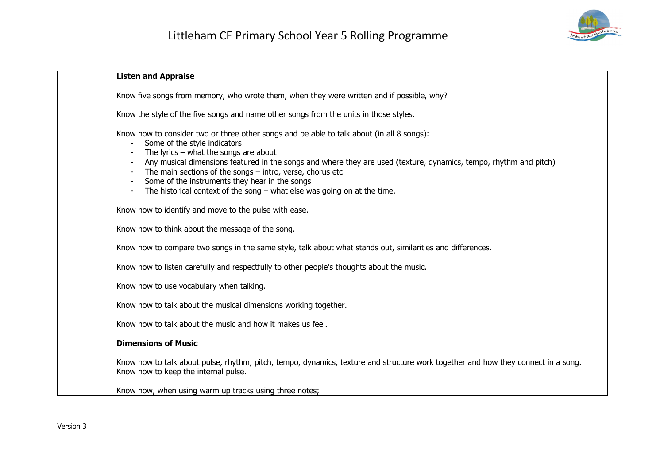

| <b>Listen and Appraise</b>                                                                                                                                                                                                                                                                                                                                                                                                                                                               |
|------------------------------------------------------------------------------------------------------------------------------------------------------------------------------------------------------------------------------------------------------------------------------------------------------------------------------------------------------------------------------------------------------------------------------------------------------------------------------------------|
| Know five songs from memory, who wrote them, when they were written and if possible, why?                                                                                                                                                                                                                                                                                                                                                                                                |
| Know the style of the five songs and name other songs from the units in those styles.                                                                                                                                                                                                                                                                                                                                                                                                    |
| Know how to consider two or three other songs and be able to talk about (in all 8 songs):<br>Some of the style indicators<br>The lyrics $-$ what the songs are about<br>Any musical dimensions featured in the songs and where they are used (texture, dynamics, tempo, rhythm and pitch)<br>The main sections of the songs $-$ intro, verse, chorus etc<br>Some of the instruments they hear in the songs<br>The historical context of the song $-$ what else was going on at the time. |
| Know how to identify and move to the pulse with ease.                                                                                                                                                                                                                                                                                                                                                                                                                                    |
| Know how to think about the message of the song.                                                                                                                                                                                                                                                                                                                                                                                                                                         |
| Know how to compare two songs in the same style, talk about what stands out, similarities and differences.                                                                                                                                                                                                                                                                                                                                                                               |
| Know how to listen carefully and respectfully to other people's thoughts about the music.                                                                                                                                                                                                                                                                                                                                                                                                |
| Know how to use vocabulary when talking.                                                                                                                                                                                                                                                                                                                                                                                                                                                 |
| Know how to talk about the musical dimensions working together.                                                                                                                                                                                                                                                                                                                                                                                                                          |
| Know how to talk about the music and how it makes us feel.                                                                                                                                                                                                                                                                                                                                                                                                                               |
| <b>Dimensions of Music</b>                                                                                                                                                                                                                                                                                                                                                                                                                                                               |
| Know how to talk about pulse, rhythm, pitch, tempo, dynamics, texture and structure work together and how they connect in a song.<br>Know how to keep the internal pulse.                                                                                                                                                                                                                                                                                                                |
| Know how, when using warm up tracks using three notes;                                                                                                                                                                                                                                                                                                                                                                                                                                   |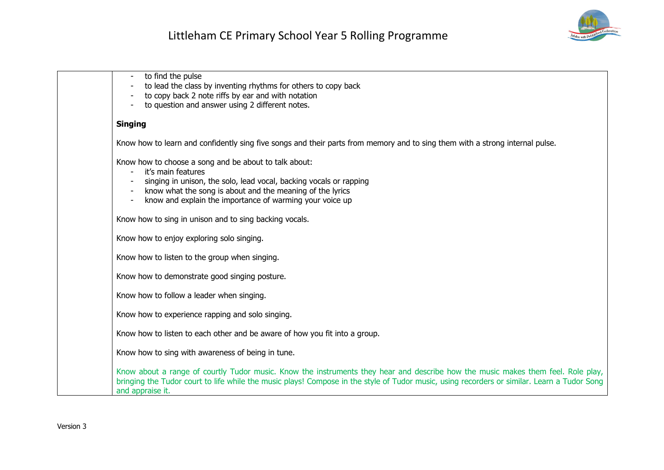

| to find the pulse<br>to lead the class by inventing rhythms for others to copy back<br>to copy back 2 note riffs by ear and with notation<br>to question and answer using 2 different notes.                                                                                                        |
|-----------------------------------------------------------------------------------------------------------------------------------------------------------------------------------------------------------------------------------------------------------------------------------------------------|
| <b>Singing</b>                                                                                                                                                                                                                                                                                      |
| Know how to learn and confidently sing five songs and their parts from memory and to sing them with a strong internal pulse.                                                                                                                                                                        |
| Know how to choose a song and be about to talk about:<br>it's main features<br>singing in unison, the solo, lead vocal, backing vocals or rapping<br>know what the song is about and the meaning of the lyrics<br>know and explain the importance of warming your voice up                          |
| Know how to sing in unison and to sing backing vocals.                                                                                                                                                                                                                                              |
| Know how to enjoy exploring solo singing.                                                                                                                                                                                                                                                           |
| Know how to listen to the group when singing.                                                                                                                                                                                                                                                       |
| Know how to demonstrate good singing posture.                                                                                                                                                                                                                                                       |
| Know how to follow a leader when singing.                                                                                                                                                                                                                                                           |
| Know how to experience rapping and solo singing.                                                                                                                                                                                                                                                    |
| Know how to listen to each other and be aware of how you fit into a group.                                                                                                                                                                                                                          |
| Know how to sing with awareness of being in tune.                                                                                                                                                                                                                                                   |
| Know about a range of courtly Tudor music. Know the instruments they hear and describe how the music makes them feel. Role play,<br>bringing the Tudor court to life while the music plays! Compose in the style of Tudor music, using recorders or similar. Learn a Tudor Song<br>and appraise it. |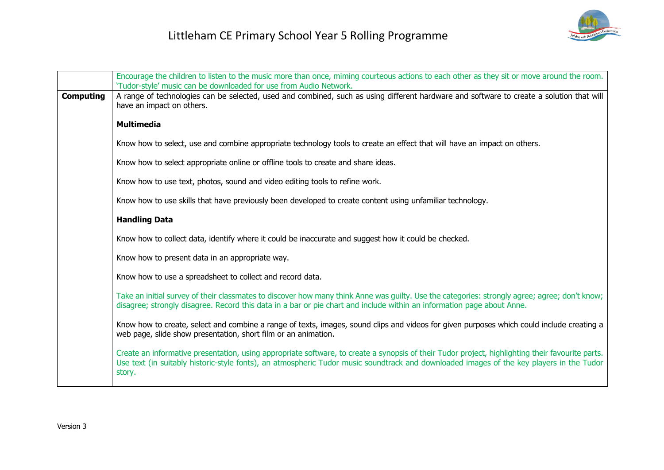

|                  | Encourage the children to listen to the music more than once, miming courteous actions to each other as they sit or move around the room.<br>'Tudor-style' music can be downloaded for use from Audio Network.                                                                                         |
|------------------|--------------------------------------------------------------------------------------------------------------------------------------------------------------------------------------------------------------------------------------------------------------------------------------------------------|
| <b>Computing</b> | A range of technologies can be selected, used and combined, such as using different hardware and software to create a solution that will<br>have an impact on others.                                                                                                                                  |
|                  | <b>Multimedia</b>                                                                                                                                                                                                                                                                                      |
|                  | Know how to select, use and combine appropriate technology tools to create an effect that will have an impact on others.                                                                                                                                                                               |
|                  | Know how to select appropriate online or offline tools to create and share ideas.                                                                                                                                                                                                                      |
|                  | Know how to use text, photos, sound and video editing tools to refine work.                                                                                                                                                                                                                            |
|                  | Know how to use skills that have previously been developed to create content using unfamiliar technology.                                                                                                                                                                                              |
|                  | <b>Handling Data</b>                                                                                                                                                                                                                                                                                   |
|                  | Know how to collect data, identify where it could be inaccurate and suggest how it could be checked.                                                                                                                                                                                                   |
|                  | Know how to present data in an appropriate way.                                                                                                                                                                                                                                                        |
|                  | Know how to use a spreadsheet to collect and record data.                                                                                                                                                                                                                                              |
|                  | Take an initial survey of their classmates to discover how many think Anne was guilty. Use the categories: strongly agree; agree; don't know;<br>disagree; strongly disagree. Record this data in a bar or pie chart and include within an information page about Anne.                                |
|                  | Know how to create, select and combine a range of texts, images, sound clips and videos for given purposes which could include creating a<br>web page, slide show presentation, short film or an animation.                                                                                            |
|                  | Create an informative presentation, using appropriate software, to create a synopsis of their Tudor project, highlighting their favourite parts.<br>Use text (in suitably historic-style fonts), an atmospheric Tudor music soundtrack and downloaded images of the key players in the Tudor<br>story. |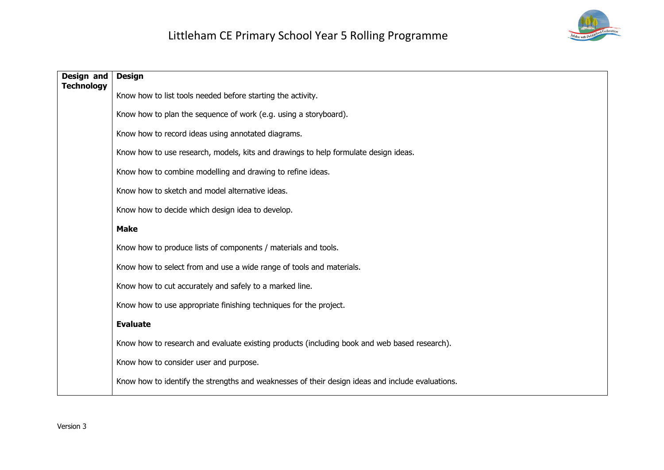

| Design and<br><b>Technology</b> | <b>Design</b>                                                                                    |
|---------------------------------|--------------------------------------------------------------------------------------------------|
|                                 | Know how to list tools needed before starting the activity.                                      |
|                                 | Know how to plan the sequence of work (e.g. using a storyboard).                                 |
|                                 | Know how to record ideas using annotated diagrams.                                               |
|                                 | Know how to use research, models, kits and drawings to help formulate design ideas.              |
|                                 | Know how to combine modelling and drawing to refine ideas.                                       |
|                                 | Know how to sketch and model alternative ideas.                                                  |
|                                 | Know how to decide which design idea to develop.                                                 |
|                                 | <b>Make</b>                                                                                      |
|                                 | Know how to produce lists of components / materials and tools.                                   |
|                                 | Know how to select from and use a wide range of tools and materials.                             |
|                                 | Know how to cut accurately and safely to a marked line.                                          |
|                                 | Know how to use appropriate finishing techniques for the project.                                |
|                                 | <b>Evaluate</b>                                                                                  |
|                                 | Know how to research and evaluate existing products (including book and web based research).     |
|                                 | Know how to consider user and purpose.                                                           |
|                                 | Know how to identify the strengths and weaknesses of their design ideas and include evaluations. |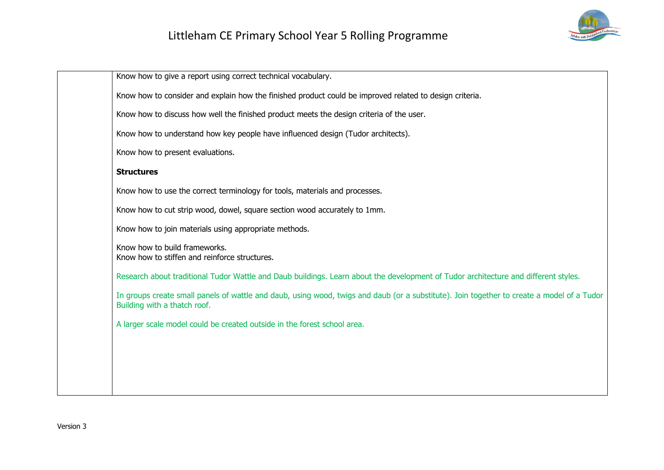

Know how to give a report using correct technical vocabulary. Know how to consider and explain how the finished product could be improved related to design criteria. Know how to discuss how well the finished product meets the design criteria of the user. Know how to understand how key people have influenced design (Tudor architects). Know how to present evaluations. **Structures** Know how to use the correct terminology for tools, materials and processes. Know how to cut strip wood, dowel, square section wood accurately to 1mm. Know how to join materials using appropriate methods. Know how to build frameworks. Know how to stiffen and reinforce structures. Research about traditional Tudor Wattle and Daub buildings. Learn about the development of Tudor architecture and different styles. In groups create small panels of wattle and daub, using wood, twigs and daub (or a substitute). Join together to create a model of a Tudor Building with a thatch roof. A larger scale model could be created outside in the forest school area.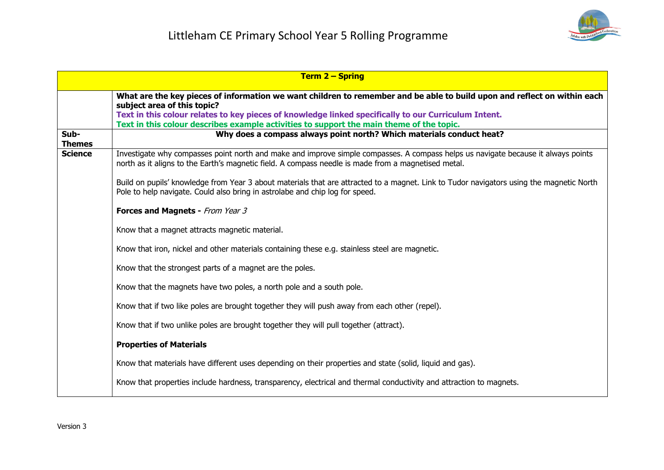

|                       | <b>Term 2 – Spring</b>                                                                                                                                                                                                                   |
|-----------------------|------------------------------------------------------------------------------------------------------------------------------------------------------------------------------------------------------------------------------------------|
|                       | What are the key pieces of information we want children to remember and be able to build upon and reflect on within each<br>subject area of this topic?                                                                                  |
|                       | Text in this colour relates to key pieces of knowledge linked specifically to our Curriculum Intent.                                                                                                                                     |
|                       | Text in this colour describes example activities to support the main theme of the topic.                                                                                                                                                 |
| Sub-<br><b>Themes</b> | Why does a compass always point north? Which materials conduct heat?                                                                                                                                                                     |
| <b>Science</b>        | Investigate why compasses point north and make and improve simple compasses. A compass helps us navigate because it always points<br>north as it aligns to the Earth's magnetic field. A compass needle is made from a magnetised metal. |
|                       | Build on pupils' knowledge from Year 3 about materials that are attracted to a magnet. Link to Tudor navigators using the magnetic North<br>Pole to help navigate. Could also bring in astrolabe and chip log for speed.                 |
|                       | Forces and Magnets - From Year 3                                                                                                                                                                                                         |
|                       | Know that a magnet attracts magnetic material.                                                                                                                                                                                           |
|                       | Know that iron, nickel and other materials containing these e.g. stainless steel are magnetic.                                                                                                                                           |
|                       | Know that the strongest parts of a magnet are the poles.                                                                                                                                                                                 |
|                       | Know that the magnets have two poles, a north pole and a south pole.                                                                                                                                                                     |
|                       | Know that if two like poles are brought together they will push away from each other (repel).                                                                                                                                            |
|                       | Know that if two unlike poles are brought together they will pull together (attract).                                                                                                                                                    |
|                       | <b>Properties of Materials</b>                                                                                                                                                                                                           |
|                       | Know that materials have different uses depending on their properties and state (solid, liquid and gas).                                                                                                                                 |
|                       | Know that properties include hardness, transparency, electrical and thermal conductivity and attraction to magnets.                                                                                                                      |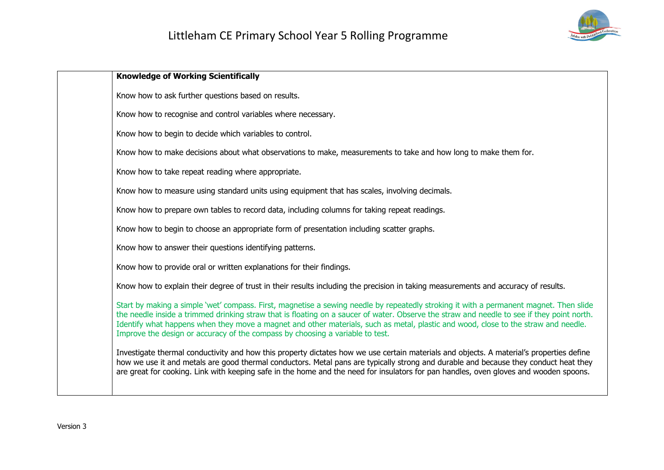

| <b>Knowledge of Working Scientifically</b>                                                                                                                                                                                                                                                                                                                                                                                                                                                                  |
|-------------------------------------------------------------------------------------------------------------------------------------------------------------------------------------------------------------------------------------------------------------------------------------------------------------------------------------------------------------------------------------------------------------------------------------------------------------------------------------------------------------|
| Know how to ask further questions based on results.                                                                                                                                                                                                                                                                                                                                                                                                                                                         |
| Know how to recognise and control variables where necessary.                                                                                                                                                                                                                                                                                                                                                                                                                                                |
| Know how to begin to decide which variables to control.                                                                                                                                                                                                                                                                                                                                                                                                                                                     |
| Know how to make decisions about what observations to make, measurements to take and how long to make them for.                                                                                                                                                                                                                                                                                                                                                                                             |
| Know how to take repeat reading where appropriate.                                                                                                                                                                                                                                                                                                                                                                                                                                                          |
| Know how to measure using standard units using equipment that has scales, involving decimals.                                                                                                                                                                                                                                                                                                                                                                                                               |
| Know how to prepare own tables to record data, including columns for taking repeat readings.                                                                                                                                                                                                                                                                                                                                                                                                                |
| Know how to begin to choose an appropriate form of presentation including scatter graphs.                                                                                                                                                                                                                                                                                                                                                                                                                   |
| Know how to answer their questions identifying patterns.                                                                                                                                                                                                                                                                                                                                                                                                                                                    |
| Know how to provide oral or written explanations for their findings.                                                                                                                                                                                                                                                                                                                                                                                                                                        |
| Know how to explain their degree of trust in their results including the precision in taking measurements and accuracy of results.                                                                                                                                                                                                                                                                                                                                                                          |
| Start by making a simple 'wet' compass. First, magnetise a sewing needle by repeatedly stroking it with a permanent magnet. Then slide<br>the needle inside a trimmed drinking straw that is floating on a saucer of water. Observe the straw and needle to see if they point north.<br>Identify what happens when they move a magnet and other materials, such as metal, plastic and wood, close to the straw and needle.<br>Improve the design or accuracy of the compass by choosing a variable to test. |
| Investigate thermal conductivity and how this property dictates how we use certain materials and objects. A material's properties define<br>how we use it and metals are good thermal conductors. Metal pans are typically strong and durable and because they conduct heat they<br>are great for cooking. Link with keeping safe in the home and the need for insulators for pan handles, oven gloves and wooden spoons.                                                                                   |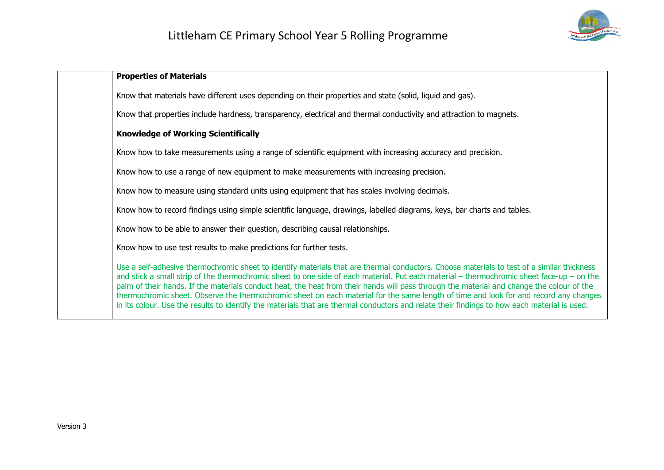

| <b>Properties of Materials</b>                                                                                                                                                                                                                                                                                                                                                                                                                                                                                                                                                                                                                                                                                                |
|-------------------------------------------------------------------------------------------------------------------------------------------------------------------------------------------------------------------------------------------------------------------------------------------------------------------------------------------------------------------------------------------------------------------------------------------------------------------------------------------------------------------------------------------------------------------------------------------------------------------------------------------------------------------------------------------------------------------------------|
| Know that materials have different uses depending on their properties and state (solid, liquid and gas).                                                                                                                                                                                                                                                                                                                                                                                                                                                                                                                                                                                                                      |
| Know that properties include hardness, transparency, electrical and thermal conductivity and attraction to magnets.                                                                                                                                                                                                                                                                                                                                                                                                                                                                                                                                                                                                           |
| <b>Knowledge of Working Scientifically</b>                                                                                                                                                                                                                                                                                                                                                                                                                                                                                                                                                                                                                                                                                    |
| Know how to take measurements using a range of scientific equipment with increasing accuracy and precision.                                                                                                                                                                                                                                                                                                                                                                                                                                                                                                                                                                                                                   |
| Know how to use a range of new equipment to make measurements with increasing precision.                                                                                                                                                                                                                                                                                                                                                                                                                                                                                                                                                                                                                                      |
| Know how to measure using standard units using equipment that has scales involving decimals.                                                                                                                                                                                                                                                                                                                                                                                                                                                                                                                                                                                                                                  |
| Know how to record findings using simple scientific language, drawings, labelled diagrams, keys, bar charts and tables.                                                                                                                                                                                                                                                                                                                                                                                                                                                                                                                                                                                                       |
| Know how to be able to answer their question, describing causal relationships.                                                                                                                                                                                                                                                                                                                                                                                                                                                                                                                                                                                                                                                |
| Know how to use test results to make predictions for further tests.                                                                                                                                                                                                                                                                                                                                                                                                                                                                                                                                                                                                                                                           |
| Use a self-adhesive thermochromic sheet to identify materials that are thermal conductors. Choose materials to test of a similar thickness<br>and stick a small strip of the thermochromic sheet to one side of each material. Put each material – thermochromic sheet face-up – on the<br>palm of their hands. If the materials conduct heat, the heat from their hands will pass through the material and change the colour of the<br>thermochromic sheet. Observe the thermochromic sheet on each material for the same length of time and look for and record any changes<br>in its colour. Use the results to identify the materials that are thermal conductors and relate their findings to how each material is used. |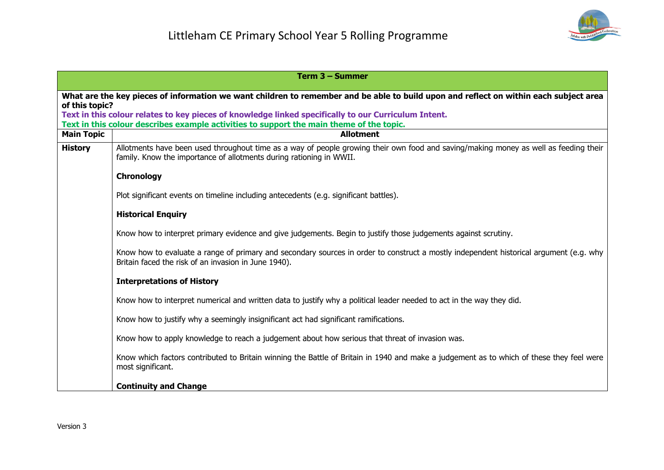

|                   | Term 3 – Summer                                                                                                                                                                                             |
|-------------------|-------------------------------------------------------------------------------------------------------------------------------------------------------------------------------------------------------------|
| of this topic?    | What are the key pieces of information we want children to remember and be able to build upon and reflect on within each subject area                                                                       |
|                   | Text in this colour relates to key pieces of knowledge linked specifically to our Curriculum Intent.<br>Text in this colour describes example activities to support the main theme of the topic.            |
| <b>Main Topic</b> | <b>Allotment</b>                                                                                                                                                                                            |
| <b>History</b>    | Allotments have been used throughout time as a way of people growing their own food and saving/making money as well as feeding their<br>family. Know the importance of allotments during rationing in WWII. |
|                   | <b>Chronology</b>                                                                                                                                                                                           |
|                   | Plot significant events on timeline including antecedents (e.g. significant battles).                                                                                                                       |
|                   | <b>Historical Enquiry</b>                                                                                                                                                                                   |
|                   | Know how to interpret primary evidence and give judgements. Begin to justify those judgements against scrutiny.                                                                                             |
|                   | Know how to evaluate a range of primary and secondary sources in order to construct a mostly independent historical argument (e.g. why<br>Britain faced the risk of an invasion in June 1940).              |
|                   | <b>Interpretations of History</b>                                                                                                                                                                           |
|                   | Know how to interpret numerical and written data to justify why a political leader needed to act in the way they did.                                                                                       |
|                   | Know how to justify why a seemingly insignificant act had significant ramifications.                                                                                                                        |
|                   | Know how to apply knowledge to reach a judgement about how serious that threat of invasion was.                                                                                                             |
|                   | Know which factors contributed to Britain winning the Battle of Britain in 1940 and make a judgement as to which of these they feel were<br>most significant.                                               |
|                   | <b>Continuity and Change</b>                                                                                                                                                                                |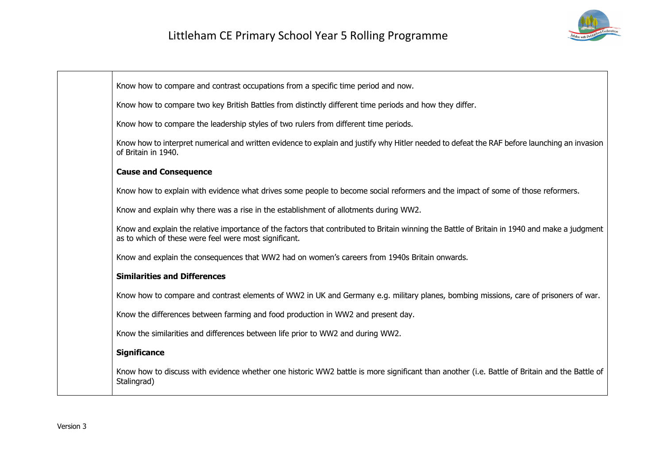

Know how to compare and contrast occupations from a specific time period and now.

Know how to compare two key British Battles from distinctly different time periods and how they differ.

Know how to compare the leadership styles of two rulers from different time periods.

Know how to interpret numerical and written evidence to explain and justify why Hitler needed to defeat the RAF before launching an invasion of Britain in 1940.

### **Cause and Consequence**

Know how to explain with evidence what drives some people to become social reformers and the impact of some of those reformers.

Know and explain why there was a rise in the establishment of allotments during WW2.

Know and explain the relative importance of the factors that contributed to Britain winning the Battle of Britain in 1940 and make a judgment as to which of these were feel were most significant.

Know and explain the consequences that WW2 had on women's careers from 1940s Britain onwards.

### **Similarities and Differences**

Know how to compare and contrast elements of WW2 in UK and Germany e.g. military planes, bombing missions, care of prisoners of war.

Know the differences between farming and food production in WW2 and present day.

Know the similarities and differences between life prior to WW2 and during WW2.

### **Significance**

Know how to discuss with evidence whether one historic WW2 battle is more significant than another (i.e. Battle of Britain and the Battle of Stalingrad)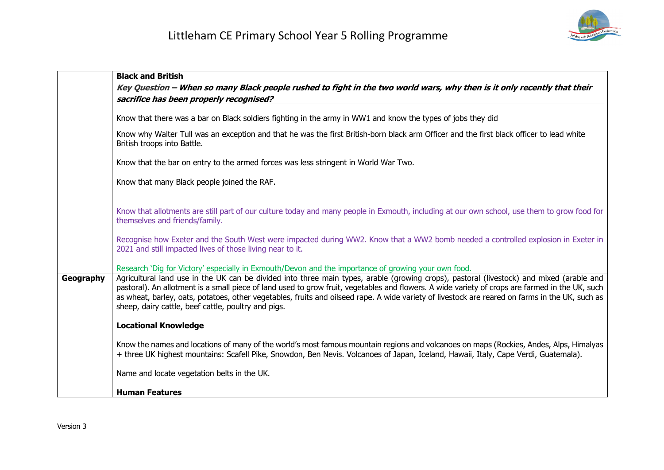

|           | <b>Black and British</b>                                                                                                                                                                                                                                                                                                                                                                                                                                                                              |
|-----------|-------------------------------------------------------------------------------------------------------------------------------------------------------------------------------------------------------------------------------------------------------------------------------------------------------------------------------------------------------------------------------------------------------------------------------------------------------------------------------------------------------|
|           | Key Question - When so many Black people rushed to fight in the two world wars, why then is it only recently that their<br>sacrifice has been properly recognised?                                                                                                                                                                                                                                                                                                                                    |
|           | Know that there was a bar on Black soldiers fighting in the army in WW1 and know the types of jobs they did                                                                                                                                                                                                                                                                                                                                                                                           |
|           | Know why Walter Tull was an exception and that he was the first British-born black arm Officer and the first black officer to lead white<br>British troops into Battle.                                                                                                                                                                                                                                                                                                                               |
|           | Know that the bar on entry to the armed forces was less stringent in World War Two.                                                                                                                                                                                                                                                                                                                                                                                                                   |
|           | Know that many Black people joined the RAF.                                                                                                                                                                                                                                                                                                                                                                                                                                                           |
|           | Know that allotments are still part of our culture today and many people in Exmouth, including at our own school, use them to grow food for<br>themselves and friends/family.                                                                                                                                                                                                                                                                                                                         |
|           | Recognise how Exeter and the South West were impacted during WW2. Know that a WW2 bomb needed a controlled explosion in Exeter in<br>2021 and still impacted lives of those living near to it.                                                                                                                                                                                                                                                                                                        |
|           | Research 'Dig for Victory' especially in Exmouth/Devon and the importance of growing your own food.                                                                                                                                                                                                                                                                                                                                                                                                   |
| Geography | Agricultural land use in the UK can be divided into three main types, arable (growing crops), pastoral (livestock) and mixed (arable and<br>pastoral). An allotment is a small piece of land used to grow fruit, vegetables and flowers. A wide variety of crops are farmed in the UK, such<br>as wheat, barley, oats, potatoes, other vegetables, fruits and oilseed rape. A wide variety of livestock are reared on farms in the UK, such as<br>sheep, dairy cattle, beef cattle, poultry and pigs. |
|           | <b>Locational Knowledge</b>                                                                                                                                                                                                                                                                                                                                                                                                                                                                           |
|           | Know the names and locations of many of the world's most famous mountain regions and volcanoes on maps (Rockies, Andes, Alps, Himalyas<br>+ three UK highest mountains: Scafell Pike, Snowdon, Ben Nevis. Volcanoes of Japan, Iceland, Hawaii, Italy, Cape Verdi, Guatemala).                                                                                                                                                                                                                         |
|           | Name and locate vegetation belts in the UK.                                                                                                                                                                                                                                                                                                                                                                                                                                                           |
|           | <b>Human Features</b>                                                                                                                                                                                                                                                                                                                                                                                                                                                                                 |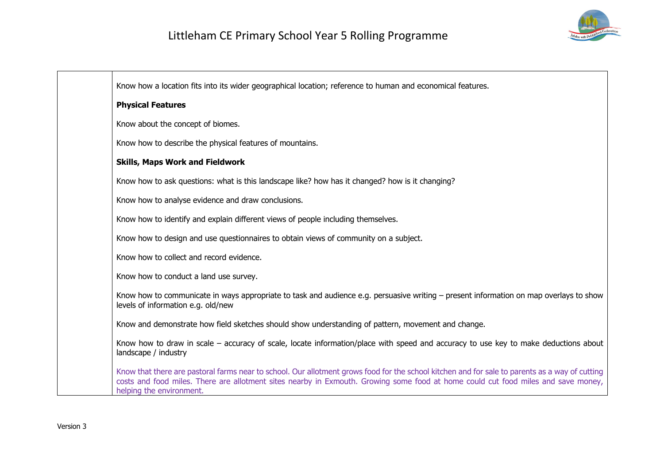

| Know how a location fits into its wider geographical location; reference to human and economical features.                                                                                                                                                                                                      |
|-----------------------------------------------------------------------------------------------------------------------------------------------------------------------------------------------------------------------------------------------------------------------------------------------------------------|
| <b>Physical Features</b>                                                                                                                                                                                                                                                                                        |
| Know about the concept of biomes.                                                                                                                                                                                                                                                                               |
| Know how to describe the physical features of mountains.                                                                                                                                                                                                                                                        |
| <b>Skills, Maps Work and Fieldwork</b>                                                                                                                                                                                                                                                                          |
| Know how to ask questions: what is this landscape like? how has it changed? how is it changing?                                                                                                                                                                                                                 |
| Know how to analyse evidence and draw conclusions.                                                                                                                                                                                                                                                              |
| Know how to identify and explain different views of people including themselves.                                                                                                                                                                                                                                |
| Know how to design and use questionnaires to obtain views of community on a subject.                                                                                                                                                                                                                            |
| Know how to collect and record evidence.                                                                                                                                                                                                                                                                        |
| Know how to conduct a land use survey.                                                                                                                                                                                                                                                                          |
| Know how to communicate in ways appropriate to task and audience e.g. persuasive writing – present information on map overlays to show<br>levels of information e.g. old/new                                                                                                                                    |
| Know and demonstrate how field sketches should show understanding of pattern, movement and change.                                                                                                                                                                                                              |
| Know how to draw in scale – accuracy of scale, locate information/place with speed and accuracy to use key to make deductions about<br>landscape / industry                                                                                                                                                     |
| Know that there are pastoral farms near to school. Our allotment grows food for the school kitchen and for sale to parents as a way of cutting<br>costs and food miles. There are allotment sites nearby in Exmouth. Growing some food at home could cut food miles and save money,<br>helping the environment. |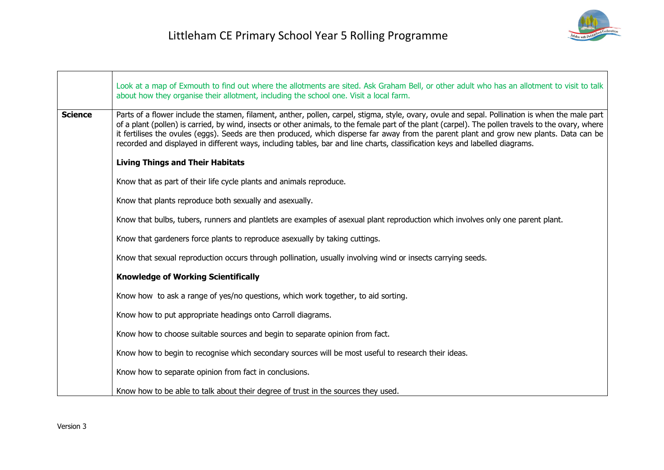

|                | Look at a map of Exmouth to find out where the allotments are sited. Ask Graham Bell, or other adult who has an allotment to visit to talk<br>about how they organise their allotment, including the school one. Visit a local farm.                                                                                                                                                                                                                                                                                                                                               |
|----------------|------------------------------------------------------------------------------------------------------------------------------------------------------------------------------------------------------------------------------------------------------------------------------------------------------------------------------------------------------------------------------------------------------------------------------------------------------------------------------------------------------------------------------------------------------------------------------------|
| <b>Science</b> | Parts of a flower include the stamen, filament, anther, pollen, carpel, stigma, style, ovary, ovule and sepal. Pollination is when the male part<br>of a plant (pollen) is carried, by wind, insects or other animals, to the female part of the plant (carpel). The pollen travels to the ovary, where<br>it fertilises the ovules (eggs). Seeds are then produced, which disperse far away from the parent plant and grow new plants. Data can be<br>recorded and displayed in different ways, including tables, bar and line charts, classification keys and labelled diagrams. |
|                | <b>Living Things and Their Habitats</b>                                                                                                                                                                                                                                                                                                                                                                                                                                                                                                                                            |
|                | Know that as part of their life cycle plants and animals reproduce.                                                                                                                                                                                                                                                                                                                                                                                                                                                                                                                |
|                | Know that plants reproduce both sexually and asexually.                                                                                                                                                                                                                                                                                                                                                                                                                                                                                                                            |
|                | Know that bulbs, tubers, runners and plantlets are examples of asexual plant reproduction which involves only one parent plant.                                                                                                                                                                                                                                                                                                                                                                                                                                                    |
|                | Know that gardeners force plants to reproduce asexually by taking cuttings.                                                                                                                                                                                                                                                                                                                                                                                                                                                                                                        |
|                | Know that sexual reproduction occurs through pollination, usually involving wind or insects carrying seeds.                                                                                                                                                                                                                                                                                                                                                                                                                                                                        |
|                | <b>Knowledge of Working Scientifically</b>                                                                                                                                                                                                                                                                                                                                                                                                                                                                                                                                         |
|                | Know how to ask a range of yes/no questions, which work together, to aid sorting.                                                                                                                                                                                                                                                                                                                                                                                                                                                                                                  |
|                | Know how to put appropriate headings onto Carroll diagrams.                                                                                                                                                                                                                                                                                                                                                                                                                                                                                                                        |
|                | Know how to choose suitable sources and begin to separate opinion from fact.                                                                                                                                                                                                                                                                                                                                                                                                                                                                                                       |
|                | Know how to begin to recognise which secondary sources will be most useful to research their ideas.                                                                                                                                                                                                                                                                                                                                                                                                                                                                                |
|                | Know how to separate opinion from fact in conclusions.                                                                                                                                                                                                                                                                                                                                                                                                                                                                                                                             |
|                | Know how to be able to talk about their degree of trust in the sources they used.                                                                                                                                                                                                                                                                                                                                                                                                                                                                                                  |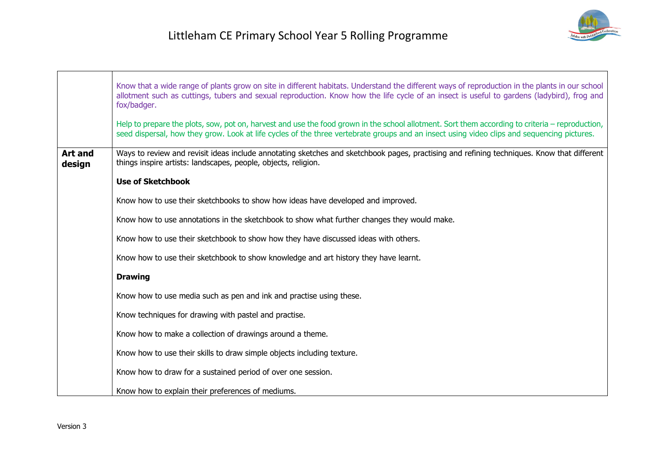|                          | Know that a wide range of plants grow on site in different habitats. Understand the different ways of reproduction in the plants in our school<br>allotment such as cuttings, tubers and sexual reproduction. Know how the life cycle of an insect is useful to gardens (ladybird), frog and<br>fox/badger.<br>Help to prepare the plots, sow, pot on, harvest and use the food grown in the school allotment. Sort them according to criteria – reproduction,<br>seed dispersal, how they grow. Look at life cycles of the three vertebrate groups and an insect using video clips and sequencing pictures. |
|--------------------------|--------------------------------------------------------------------------------------------------------------------------------------------------------------------------------------------------------------------------------------------------------------------------------------------------------------------------------------------------------------------------------------------------------------------------------------------------------------------------------------------------------------------------------------------------------------------------------------------------------------|
| <b>Art and</b><br>design | Ways to review and revisit ideas include annotating sketches and sketchbook pages, practising and refining techniques. Know that different<br>things inspire artists: landscapes, people, objects, religion.                                                                                                                                                                                                                                                                                                                                                                                                 |
|                          | <b>Use of Sketchbook</b>                                                                                                                                                                                                                                                                                                                                                                                                                                                                                                                                                                                     |
|                          | Know how to use their sketchbooks to show how ideas have developed and improved.                                                                                                                                                                                                                                                                                                                                                                                                                                                                                                                             |
|                          | Know how to use annotations in the sketchbook to show what further changes they would make.                                                                                                                                                                                                                                                                                                                                                                                                                                                                                                                  |
|                          | Know how to use their sketchbook to show how they have discussed ideas with others.                                                                                                                                                                                                                                                                                                                                                                                                                                                                                                                          |
|                          | Know how to use their sketchbook to show knowledge and art history they have learnt.                                                                                                                                                                                                                                                                                                                                                                                                                                                                                                                         |
|                          | <b>Drawing</b>                                                                                                                                                                                                                                                                                                                                                                                                                                                                                                                                                                                               |
|                          | Know how to use media such as pen and ink and practise using these.                                                                                                                                                                                                                                                                                                                                                                                                                                                                                                                                          |
|                          | Know techniques for drawing with pastel and practise.                                                                                                                                                                                                                                                                                                                                                                                                                                                                                                                                                        |
|                          | Know how to make a collection of drawings around a theme.                                                                                                                                                                                                                                                                                                                                                                                                                                                                                                                                                    |
|                          | Know how to use their skills to draw simple objects including texture.                                                                                                                                                                                                                                                                                                                                                                                                                                                                                                                                       |
|                          | Know how to draw for a sustained period of over one session.                                                                                                                                                                                                                                                                                                                                                                                                                                                                                                                                                 |
|                          | Know how to explain their preferences of mediums.                                                                                                                                                                                                                                                                                                                                                                                                                                                                                                                                                            |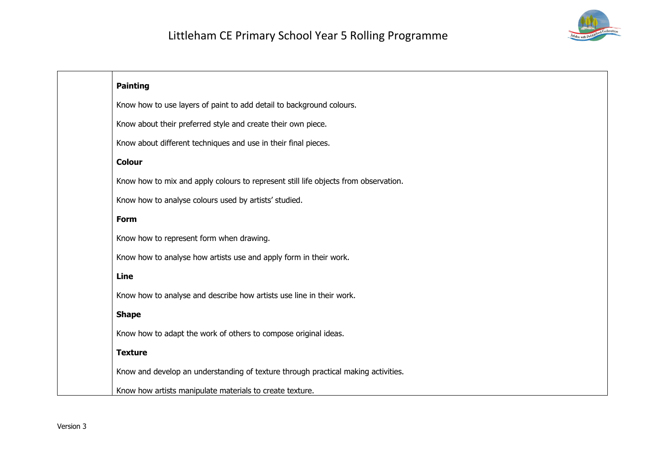

| <b>Painting</b>                                                                     |
|-------------------------------------------------------------------------------------|
| Know how to use layers of paint to add detail to background colours.                |
| Know about their preferred style and create their own piece.                        |
| Know about different techniques and use in their final pieces.                      |
| <b>Colour</b>                                                                       |
| Know how to mix and apply colours to represent still life objects from observation. |
| Know how to analyse colours used by artists' studied.                               |
| Form                                                                                |
| Know how to represent form when drawing.                                            |
| Know how to analyse how artists use and apply form in their work.                   |
| Line                                                                                |
| Know how to analyse and describe how artists use line in their work.                |
| <b>Shape</b>                                                                        |
| Know how to adapt the work of others to compose original ideas.                     |
| <b>Texture</b>                                                                      |
| Know and develop an understanding of texture through practical making activities.   |
| Know how artists manipulate materials to create texture.                            |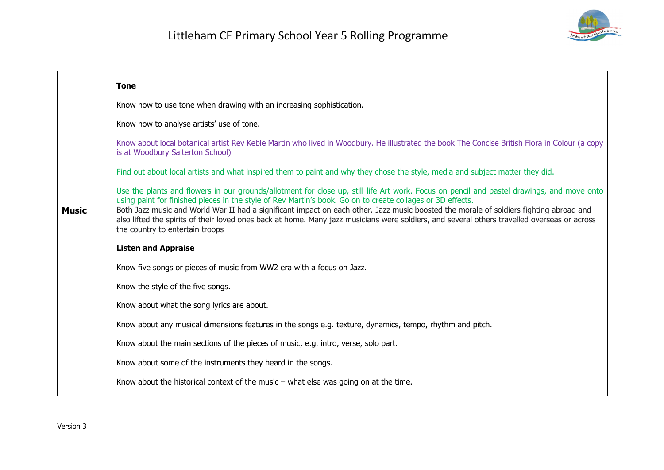

|              | <b>Tone</b>                                                                                                                                                                                                                                                                                                               |
|--------------|---------------------------------------------------------------------------------------------------------------------------------------------------------------------------------------------------------------------------------------------------------------------------------------------------------------------------|
|              | Know how to use tone when drawing with an increasing sophistication.                                                                                                                                                                                                                                                      |
|              | Know how to analyse artists' use of tone.                                                                                                                                                                                                                                                                                 |
|              | Know about local botanical artist Rev Keble Martin who lived in Woodbury. He illustrated the book The Concise British Flora in Colour (a copy<br>is at Woodbury Salterton School)                                                                                                                                         |
|              | Find out about local artists and what inspired them to paint and why they chose the style, media and subject matter they did.                                                                                                                                                                                             |
|              | Use the plants and flowers in our grounds/allotment for close up, still life Art work. Focus on pencil and pastel drawings, and move onto<br>using paint for finished pieces in the style of Rev Martin's book. Go on to create collages or 3D effects.                                                                   |
| <b>Music</b> | Both Jazz music and World War II had a significant impact on each other. Jazz music boosted the morale of soldiers fighting abroad and<br>also lifted the spirits of their loved ones back at home. Many jazz musicians were soldiers, and several others travelled overseas or across<br>the country to entertain troops |
|              | <b>Listen and Appraise</b>                                                                                                                                                                                                                                                                                                |
|              | Know five songs or pieces of music from WW2 era with a focus on Jazz.                                                                                                                                                                                                                                                     |
|              | Know the style of the five songs.                                                                                                                                                                                                                                                                                         |
|              | Know about what the song lyrics are about.                                                                                                                                                                                                                                                                                |
|              | Know about any musical dimensions features in the songs e.g. texture, dynamics, tempo, rhythm and pitch.                                                                                                                                                                                                                  |
|              | Know about the main sections of the pieces of music, e.g. intro, verse, solo part.                                                                                                                                                                                                                                        |
|              | Know about some of the instruments they heard in the songs.                                                                                                                                                                                                                                                               |
|              | Know about the historical context of the music $-$ what else was going on at the time.                                                                                                                                                                                                                                    |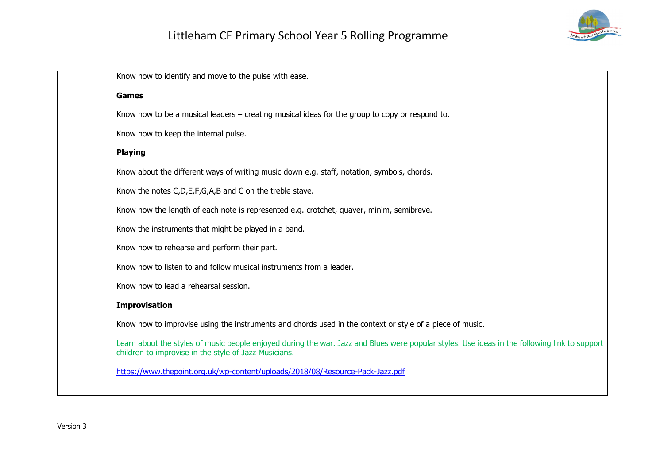

Know how to identify and move to the pulse with ease. **Games** Know how to be a musical leaders – creating musical ideas for the group to copy or respond to. Know how to keep the internal pulse. **Playing** Know about the different ways of writing music down e.g. staff, notation, symbols, chords. Know the notes C,D,E,F,G,A,B and C on the treble stave. Know how the length of each note is represented e.g. crotchet, quaver, minim, semibreve. Know the instruments that might be played in a band. Know how to rehearse and perform their part. Know how to listen to and follow musical instruments from a leader. Know how to lead a rehearsal session. **Improvisation** Know how to improvise using the instruments and chords used in the context or style of a piece of music. Learn about the styles of music people enjoyed during the war. Jazz and Blues were popular styles. Use ideas in the following link to support children to improvise in the style of Jazz Musicians. https://www.thepoint.org.uk/wp-content/uploads/2018/08/Resource-Pack-Jazz.pdf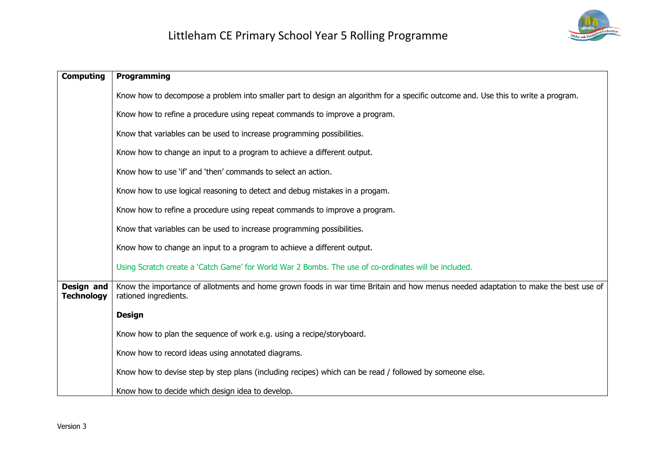

| <b>Computing</b>                       | <b>Programming</b>                                                                                                                                          |
|----------------------------------------|-------------------------------------------------------------------------------------------------------------------------------------------------------------|
|                                        | Know how to decompose a problem into smaller part to design an algorithm for a specific outcome and. Use this to write a program.                           |
|                                        | Know how to refine a procedure using repeat commands to improve a program.                                                                                  |
|                                        | Know that variables can be used to increase programming possibilities.                                                                                      |
|                                        | Know how to change an input to a program to achieve a different output.                                                                                     |
|                                        | Know how to use 'if' and 'then' commands to select an action.                                                                                               |
|                                        | Know how to use logical reasoning to detect and debug mistakes in a progam.                                                                                 |
|                                        | Know how to refine a procedure using repeat commands to improve a program.                                                                                  |
|                                        | Know that variables can be used to increase programming possibilities.                                                                                      |
|                                        | Know how to change an input to a program to achieve a different output.                                                                                     |
|                                        | Using Scratch create a 'Catch Game' for World War 2 Bombs. The use of co-ordinates will be included.                                                        |
| <b>Design and</b><br><b>Technology</b> | Know the importance of allotments and home grown foods in war time Britain and how menus needed adaptation to make the best use of<br>rationed ingredients. |
|                                        | <b>Design</b>                                                                                                                                               |
|                                        | Know how to plan the sequence of work e.g. using a recipe/storyboard.                                                                                       |
|                                        | Know how to record ideas using annotated diagrams.                                                                                                          |
|                                        | Know how to devise step by step plans (including recipes) which can be read / followed by someone else.                                                     |
|                                        | Know how to decide which design idea to develop.                                                                                                            |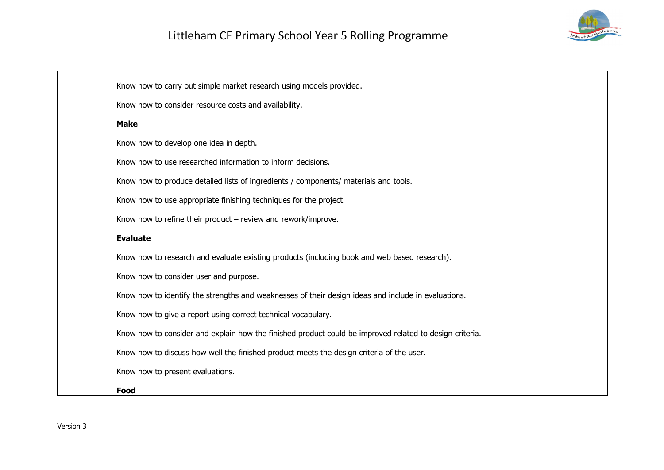

| Know how to carry out simple market research using models provided.                                     |
|---------------------------------------------------------------------------------------------------------|
| Know how to consider resource costs and availability.                                                   |
| <b>Make</b>                                                                                             |
| Know how to develop one idea in depth.                                                                  |
| Know how to use researched information to inform decisions.                                             |
| Know how to produce detailed lists of ingredients / components/ materials and tools.                    |
| Know how to use appropriate finishing techniques for the project.                                       |
| Know how to refine their product $-$ review and rework/improve.                                         |
| <b>Evaluate</b>                                                                                         |
| Know how to research and evaluate existing products (including book and web based research).            |
| Know how to consider user and purpose.                                                                  |
| Know how to identify the strengths and weaknesses of their design ideas and include in evaluations.     |
| Know how to give a report using correct technical vocabulary.                                           |
| Know how to consider and explain how the finished product could be improved related to design criteria. |
| Know how to discuss how well the finished product meets the design criteria of the user.                |
| Know how to present evaluations.                                                                        |
| Food                                                                                                    |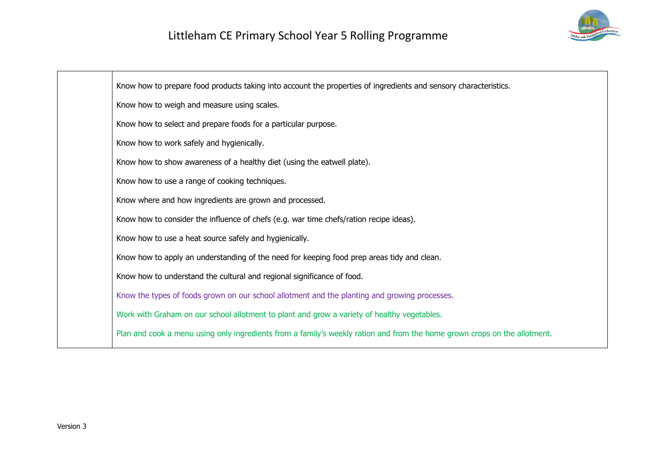

Know how to prepare food products taking into account the properties of ingredients and sensory characteristics. Know how to weigh and measure using scales. Know how to select and prepare foods for a particular purpose. Know how to work safely and hygienically. Know how to show awareness of a healthy diet (using the eatwell plate). Know how to use a range of cooking techniques. Know where and how ingredients are grown and processed. Know how to consider the influence of chefs (e.g. war time chefs/ration recipe ideas). Know how to use a heat source safely and hygienically. Know how to apply an understanding of the need for keeping food prep areas tidy and clean. Know how to understand the cultural and regional significance of food. Know the types of foods grown on our school allotment and the planting and growing processes. Work with Graham on our school allotment to plant and grow a variety of healthy vegetables. Plan and cook a menu using only ingredients from a family's weekly ration and from the home grown crops on the allotment.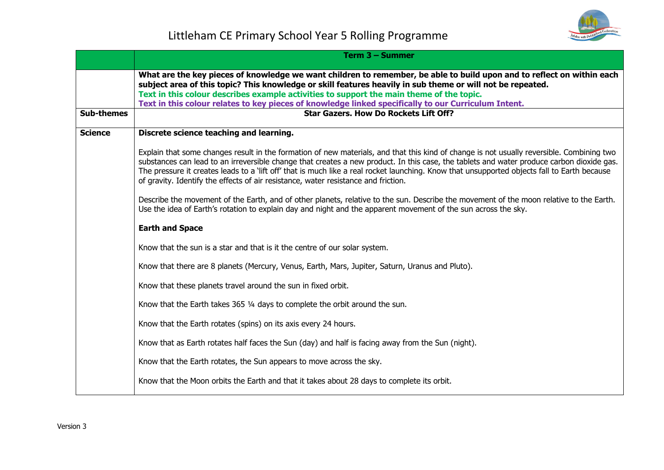

|                   | Term 3 - Summer                                                                                                                                                                                                                                                                                                                                                                                                                                                                                                              |
|-------------------|------------------------------------------------------------------------------------------------------------------------------------------------------------------------------------------------------------------------------------------------------------------------------------------------------------------------------------------------------------------------------------------------------------------------------------------------------------------------------------------------------------------------------|
| <b>Sub-themes</b> | What are the key pieces of knowledge we want children to remember, be able to build upon and to reflect on within each<br>subject area of this topic? This knowledge or skill features heavily in sub theme or will not be repeated.<br>Text in this colour describes example activities to support the main theme of the topic.<br>Text in this colour relates to key pieces of knowledge linked specifically to our Curriculum Intent.<br><b>Star Gazers. How Do Rockets Lift Off?</b>                                     |
|                   |                                                                                                                                                                                                                                                                                                                                                                                                                                                                                                                              |
| <b>Science</b>    | Discrete science teaching and learning.                                                                                                                                                                                                                                                                                                                                                                                                                                                                                      |
|                   | Explain that some changes result in the formation of new materials, and that this kind of change is not usually reversible. Combining two<br>substances can lead to an irreversible change that creates a new product. In this case, the tablets and water produce carbon dioxide gas.<br>The pressure it creates leads to a 'lift off' that is much like a real rocket launching. Know that unsupported objects fall to Earth because<br>of gravity. Identify the effects of air resistance, water resistance and friction. |
|                   | Describe the movement of the Earth, and of other planets, relative to the sun. Describe the movement of the moon relative to the Earth.<br>Use the idea of Earth's rotation to explain day and night and the apparent movement of the sun across the sky.                                                                                                                                                                                                                                                                    |
|                   | <b>Earth and Space</b>                                                                                                                                                                                                                                                                                                                                                                                                                                                                                                       |
|                   | Know that the sun is a star and that is it the centre of our solar system.                                                                                                                                                                                                                                                                                                                                                                                                                                                   |
|                   | Know that there are 8 planets (Mercury, Venus, Earth, Mars, Jupiter, Saturn, Uranus and Pluto).                                                                                                                                                                                                                                                                                                                                                                                                                              |
|                   | Know that these planets travel around the sun in fixed orbit.                                                                                                                                                                                                                                                                                                                                                                                                                                                                |
|                   | Know that the Earth takes 365 1/4 days to complete the orbit around the sun.                                                                                                                                                                                                                                                                                                                                                                                                                                                 |
|                   | Know that the Earth rotates (spins) on its axis every 24 hours.                                                                                                                                                                                                                                                                                                                                                                                                                                                              |
|                   | Know that as Earth rotates half faces the Sun (day) and half is facing away from the Sun (night).                                                                                                                                                                                                                                                                                                                                                                                                                            |
|                   | Know that the Earth rotates, the Sun appears to move across the sky.                                                                                                                                                                                                                                                                                                                                                                                                                                                         |
|                   | Know that the Moon orbits the Earth and that it takes about 28 days to complete its orbit.                                                                                                                                                                                                                                                                                                                                                                                                                                   |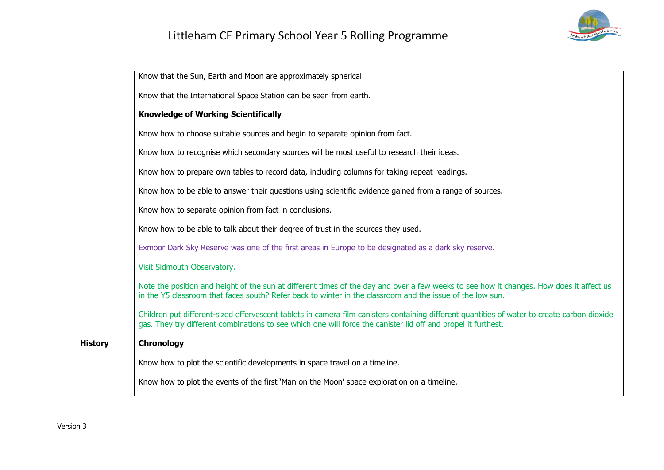

|                | Know that the Sun, Earth and Moon are approximately spherical.                                                                                                                                                                                                |
|----------------|---------------------------------------------------------------------------------------------------------------------------------------------------------------------------------------------------------------------------------------------------------------|
|                | Know that the International Space Station can be seen from earth.                                                                                                                                                                                             |
|                | <b>Knowledge of Working Scientifically</b>                                                                                                                                                                                                                    |
|                | Know how to choose suitable sources and begin to separate opinion from fact.                                                                                                                                                                                  |
|                | Know how to recognise which secondary sources will be most useful to research their ideas.                                                                                                                                                                    |
|                | Know how to prepare own tables to record data, including columns for taking repeat readings.                                                                                                                                                                  |
|                | Know how to be able to answer their questions using scientific evidence gained from a range of sources.                                                                                                                                                       |
|                | Know how to separate opinion from fact in conclusions.                                                                                                                                                                                                        |
|                | Know how to be able to talk about their degree of trust in the sources they used.                                                                                                                                                                             |
|                | Exmoor Dark Sky Reserve was one of the first areas in Europe to be designated as a dark sky reserve.                                                                                                                                                          |
|                | Visit Sidmouth Observatory.                                                                                                                                                                                                                                   |
|                | Note the position and height of the sun at different times of the day and over a few weeks to see how it changes. How does it affect us<br>in the Y5 classroom that faces south? Refer back to winter in the classroom and the issue of the low sun.          |
|                | Children put different-sized effervescent tablets in camera film canisters containing different quantities of water to create carbon dioxide<br>gas. They try different combinations to see which one will force the canister lid off and propel it furthest. |
| <b>History</b> | Chronology                                                                                                                                                                                                                                                    |
|                | Know how to plot the scientific developments in space travel on a timeline.                                                                                                                                                                                   |
|                | Know how to plot the events of the first 'Man on the Moon' space exploration on a timeline.                                                                                                                                                                   |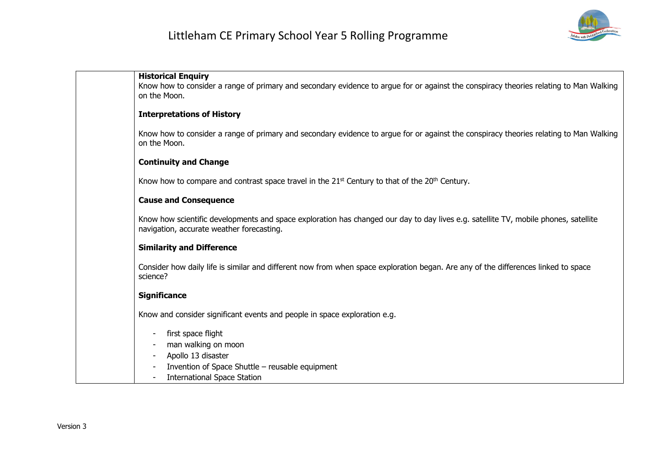

| <b>Historical Enquiry</b><br>Know how to consider a range of primary and secondary evidence to argue for or against the conspiracy theories relating to Man Walking<br>on the Moon. |
|-------------------------------------------------------------------------------------------------------------------------------------------------------------------------------------|
| <b>Interpretations of History</b>                                                                                                                                                   |
| Know how to consider a range of primary and secondary evidence to argue for or against the conspiracy theories relating to Man Walking<br>on the Moon.                              |
| <b>Continuity and Change</b>                                                                                                                                                        |
| Know how to compare and contrast space travel in the $21st$ Century to that of the $20th$ Century.                                                                                  |
| <b>Cause and Consequence</b>                                                                                                                                                        |
| Know how scientific developments and space exploration has changed our day to day lives e.g. satellite TV, mobile phones, satellite<br>navigation, accurate weather forecasting.    |
| <b>Similarity and Difference</b>                                                                                                                                                    |
| Consider how daily life is similar and different now from when space exploration began. Are any of the differences linked to space<br>science?                                      |
| <b>Significance</b>                                                                                                                                                                 |
| Know and consider significant events and people in space exploration e.g.                                                                                                           |
| first space flight                                                                                                                                                                  |
| man walking on moon                                                                                                                                                                 |
| Apollo 13 disaster<br>Invention of Space Shuttle - reusable equipment                                                                                                               |
| <b>International Space Station</b>                                                                                                                                                  |